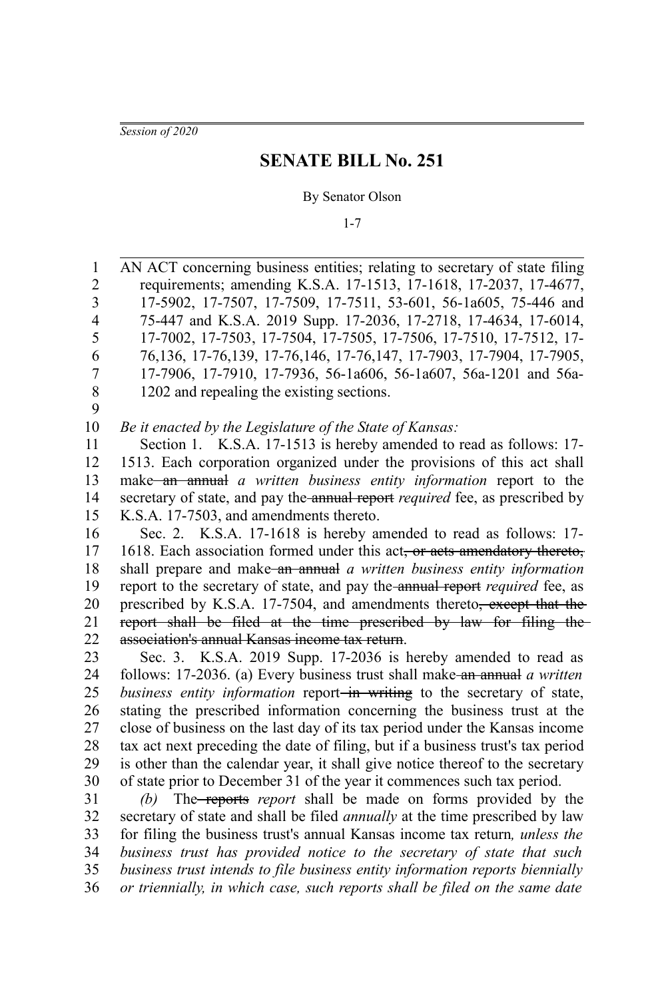*Session of 2020*

# **SENATE BILL No. 251**

#### By Senator Olson

1-7

AN ACT concerning business entities; relating to secretary of state filing requirements; amending K.S.A. 17-1513, 17-1618, 17-2037, 17-4677, 17-5902, 17-7507, 17-7509, 17-7511, 53-601, 56-1a605, 75-446 and 75-447 and K.S.A. 2019 Supp. 17-2036, 17-2718, 17-4634, 17-6014, 17-7002, 17-7503, 17-7504, 17-7505, 17-7506, 17-7510, 17-7512, 17- 76,136, 17-76,139, 17-76,146, 17-76,147, 17-7903, 17-7904, 17-7905, 17-7906, 17-7910, 17-7936, 56-1a606, 56-1a607, 56a-1201 and 56a-1202 and repealing the existing sections. *Be it enacted by the Legislature of the State of Kansas:* Section 1. K.S.A. 17-1513 is hereby amended to read as follows: 17-1513. Each corporation organized under the provisions of this act shall make an annual *a written business entity information* report to the secretary of state, and pay the annual report *required* fee, as prescribed by K.S.A. 17-7503, and amendments thereto. Sec. 2. K.S.A. 17-1618 is hereby amended to read as follows: 17- 1618. Each association formed under this act, or acts amendatory thereto, shall prepare and make an annual *a written business entity information* report to the secretary of state, and pay the annual report *required* fee, as prescribed by K.S.A. 17-7504, and amendments thereto<del>, except that the</del> report shall be filed at the time prescribed by law for filing the association's annual Kansas income tax return. Sec. 3. K.S.A. 2019 Supp. 17-2036 is hereby amended to read as follows: 17-2036. (a) Every business trust shall make an annual *a written business entity information* report<del> in writing</del> to the secretary of state, stating the prescribed information concerning the business trust at the close of business on the last day of its tax period under the Kansas income tax act next preceding the date of filing, but if a business trust's tax period is other than the calendar year, it shall give notice thereof to the secretary of state prior to December 31 of the year it commences such tax period. *(b)* The reports *report* shall be made on forms provided by the secretary of state and shall be filed *annually* at the time prescribed by law for filing the business trust's annual Kansas income tax return*, unless the business trust has provided notice to the secretary of state that such business trust intends to file business entity information reports biennially* 1 2 3 4 5 6 7 8 9 10 11 12 13 14 15 16 17 18 19 20 21 22 23 24 25 26 27 28 29 30 31 32 33 34 35

*or triennially, in which case, such reports shall be filed on the same date* 36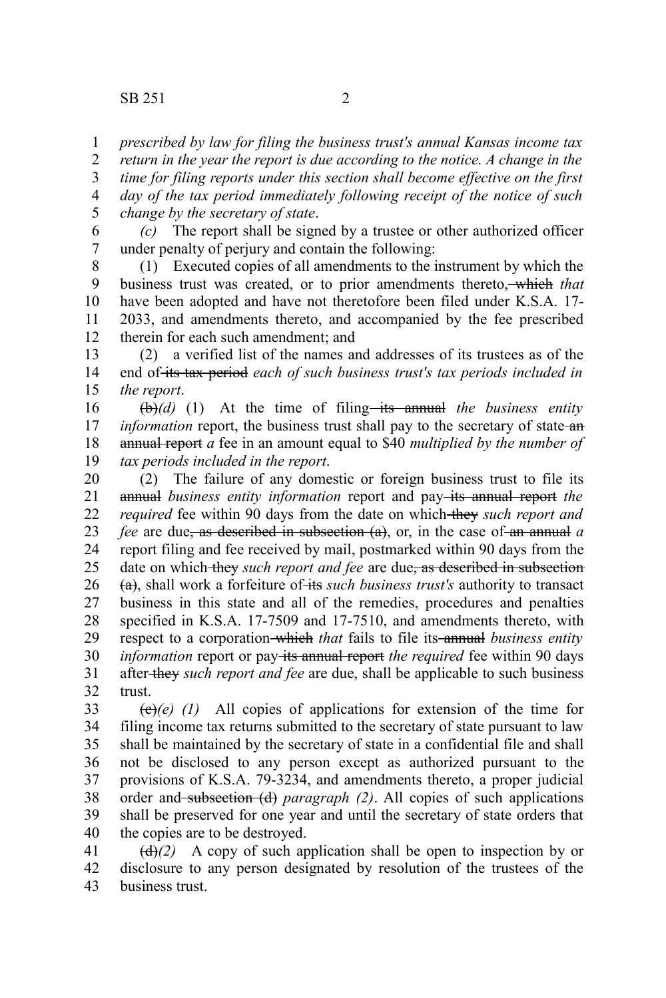*prescribed by law for filing the business trust's annual Kansas income tax* 1

*return in the year the report is due according to the notice. A change in the* 2

*time for filing reports under this section shall become effective on the first day of the tax period immediately following receipt of the notice of such* 3 4

*change by the secretary of state*. 5

*(c)* The report shall be signed by a trustee or other authorized officer under penalty of perjury and contain the following: 6 7

(1) Executed copies of all amendments to the instrument by which the business trust was created, or to prior amendments thereto, which *that* have been adopted and have not theretofore been filed under K.S.A. 17- 2033, and amendments thereto, and accompanied by the fee prescribed therein for each such amendment; and 8 9 10 11 12

(2) a verified list of the names and addresses of its trustees as of the end of its tax period *each of such business trust's tax periods included in the report*. 13 14 15

 $(\theta)$ (d) (1) At the time of filing—its annual the business entity *information* report, the business trust shall pay to the secretary of state an annual report *a* fee in an amount equal to \$40 *multiplied by the number of tax periods included in the report*. 16 17 18 19

(2) The failure of any domestic or foreign business trust to file its annual *business entity information* report and pay-its annual report the *required* fee within 90 days from the date on which they such report and *fee* are due, as described in subsection (a), or, in the case of an annual *a* report filing and fee received by mail, postmarked within 90 days from the date on which they *such report and fee* are due, as described in subsection (a), shall work a forfeiture of its *such business trust's* authority to transact business in this state and all of the remedies, procedures and penalties specified in K.S.A. 17-7509 and 17-7510, and amendments thereto, with respect to a corporation-which *that* fails to file its-annual *business entity information* report or pay its annual report the required fee within 90 days after they *such report and fee* are due, shall be applicable to such business trust. 20 21 22 23 24 25 26 27 28 29 30 31 32

 $\left(\frac{e}{e}\right)(e)$  (1) All copies of applications for extension of the time for filing income tax returns submitted to the secretary of state pursuant to law shall be maintained by the secretary of state in a confidential file and shall not be disclosed to any person except as authorized pursuant to the provisions of K.S.A. 79-3234, and amendments thereto, a proper judicial order and subsection (d) *paragraph (2)*. All copies of such applications shall be preserved for one year and until the secretary of state orders that the copies are to be destroyed. 33 34 35 36 37 38 39 40

 $\left(\frac{d}{dx}\right)$  A copy of such application shall be open to inspection by or disclosure to any person designated by resolution of the trustees of the business trust. 41 42 43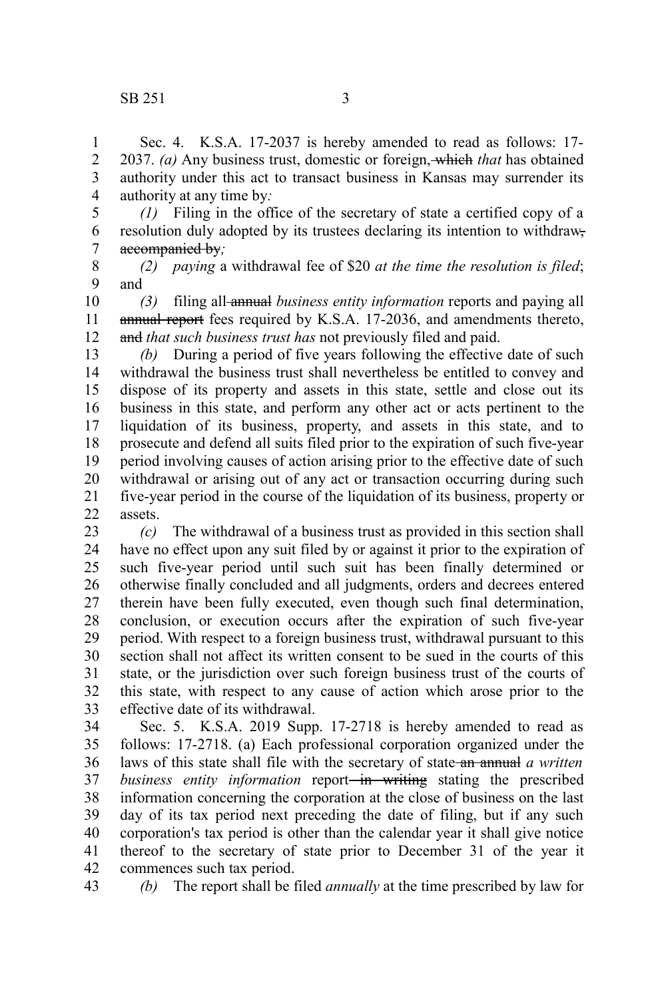Sec. 4. K.S.A. 17-2037 is hereby amended to read as follows: 17- 2037. *(a)* Any business trust, domestic or foreign, which *that* has obtained authority under this act to transact business in Kansas may surrender its authority at any time by*:* 1 2 3 4

*(1)* Filing in the office of the secretary of state a certified copy of a resolution duly adopted by its trustees declaring its intention to withdraw, accompanied by*;* 5 6 7

*(2) paying* a withdrawal fee of \$20 *at the time the resolution is filed*; and 8 9

*(3)* filing all annual *business entity information* reports and paying all annual report fees required by K.S.A. 17-2036, and amendments thereto, and *that such business trust has* not previously filed and paid. 10 11 12

*(b)* During a period of five years following the effective date of such withdrawal the business trust shall nevertheless be entitled to convey and dispose of its property and assets in this state, settle and close out its business in this state, and perform any other act or acts pertinent to the liquidation of its business, property, and assets in this state, and to prosecute and defend all suits filed prior to the expiration of such five-year period involving causes of action arising prior to the effective date of such withdrawal or arising out of any act or transaction occurring during such five-year period in the course of the liquidation of its business, property or assets. 13 14 15 16 17 18 19 20 21 22

*(c)* The withdrawal of a business trust as provided in this section shall have no effect upon any suit filed by or against it prior to the expiration of such five-year period until such suit has been finally determined or otherwise finally concluded and all judgments, orders and decrees entered therein have been fully executed, even though such final determination, conclusion, or execution occurs after the expiration of such five-year period. With respect to a foreign business trust, withdrawal pursuant to this section shall not affect its written consent to be sued in the courts of this state, or the jurisdiction over such foreign business trust of the courts of this state, with respect to any cause of action which arose prior to the effective date of its withdrawal. 23 24 25 26 27 28 29 30 31 32 33

Sec. 5. K.S.A. 2019 Supp. 17-2718 is hereby amended to read as follows: 17-2718. (a) Each professional corporation organized under the laws of this state shall file with the secretary of state an annual *a written business entity information* report—in writing stating the prescribed information concerning the corporation at the close of business on the last day of its tax period next preceding the date of filing, but if any such corporation's tax period is other than the calendar year it shall give notice thereof to the secretary of state prior to December 31 of the year it commences such tax period. 34 35 36 37 38 39 40 41 42

*(b)* The report shall be filed *annually* at the time prescribed by law for 43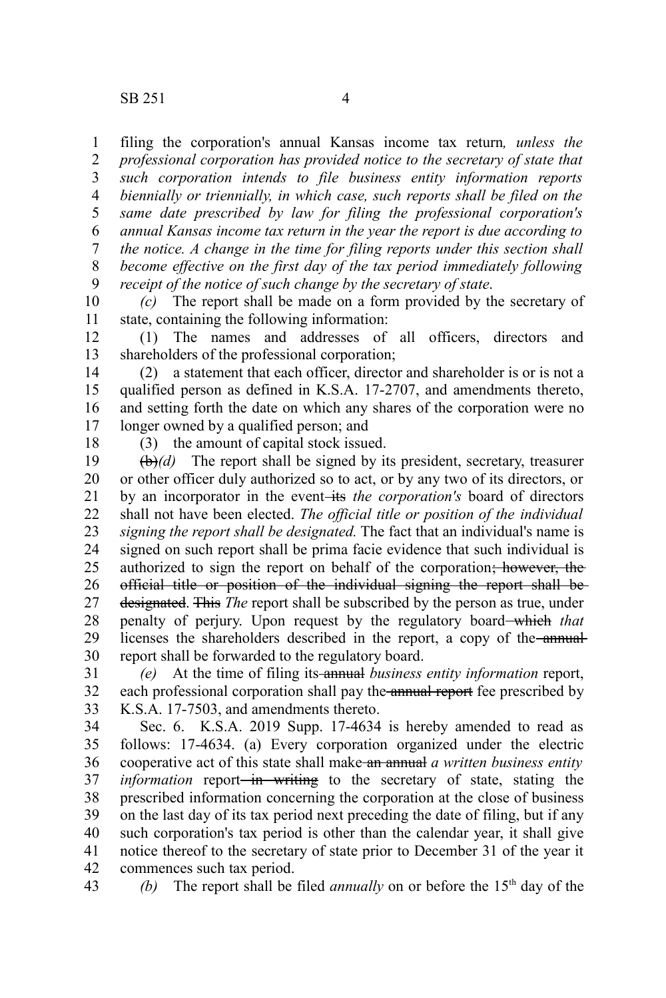filing the corporation's annual Kansas income tax return*, unless the professional corporation has provided notice to the secretary of state that such corporation intends to file business entity information reports biennially or triennially, in which case, such reports shall be filed on the same date prescribed by law for filing the professional corporation's annual Kansas income tax return in the year the report is due according to the notice. A change in the time for filing reports under this section shall become effective on the first day of the tax period immediately following receipt of the notice of such change by the secretary of state*. 1 2 3 4 5 6 7 8 9

*(c)* The report shall be made on a form provided by the secretary of state, containing the following information: 10 11

(1) The names and addresses of all officers, directors and shareholders of the professional corporation; 12 13

(2) a statement that each officer, director and shareholder is or is not a qualified person as defined in K.S.A. 17-2707, and amendments thereto, and setting forth the date on which any shares of the corporation were no longer owned by a qualified person; and 14 15 16 17

18

(3) the amount of capital stock issued.

(b)*(d)* The report shall be signed by its president, secretary, treasurer or other officer duly authorized so to act, or by any two of its directors, or by an incorporator in the event-its *the corporation's* board of directors shall not have been elected. *The official title or position of the individual signing the report shall be designated.* The fact that an individual's name is signed on such report shall be prima facie evidence that such individual is authorized to sign the report on behalf of the corporation; however, the official title or position of the individual signing the report shall be designated. This *The* report shall be subscribed by the person as true, under penalty of perjury. Upon request by the regulatory board which *that* licenses the shareholders described in the report, a copy of the annualreport shall be forwarded to the regulatory board. 19 20 21 22 23 24 25 26 27 28 29 30

*(e)* At the time of filing its annual *business entity information* report, each professional corporation shall pay the annual report fee prescribed by K.S.A. 17-7503, and amendments thereto. 31 32 33

Sec. 6. K.S.A. 2019 Supp. 17-4634 is hereby amended to read as follows: 17-4634. (a) Every corporation organized under the electric cooperative act of this state shall make an annual *a written business entity information* report<del> in writing</del> to the secretary of state, stating the prescribed information concerning the corporation at the close of business on the last day of its tax period next preceding the date of filing, but if any such corporation's tax period is other than the calendar year, it shall give notice thereof to the secretary of state prior to December 31 of the year it commences such tax period. 34 35 36 37 38 39 40 41 42

*(b)* The report shall be filed *annually* on or before the 15<sup>th</sup> day of the 43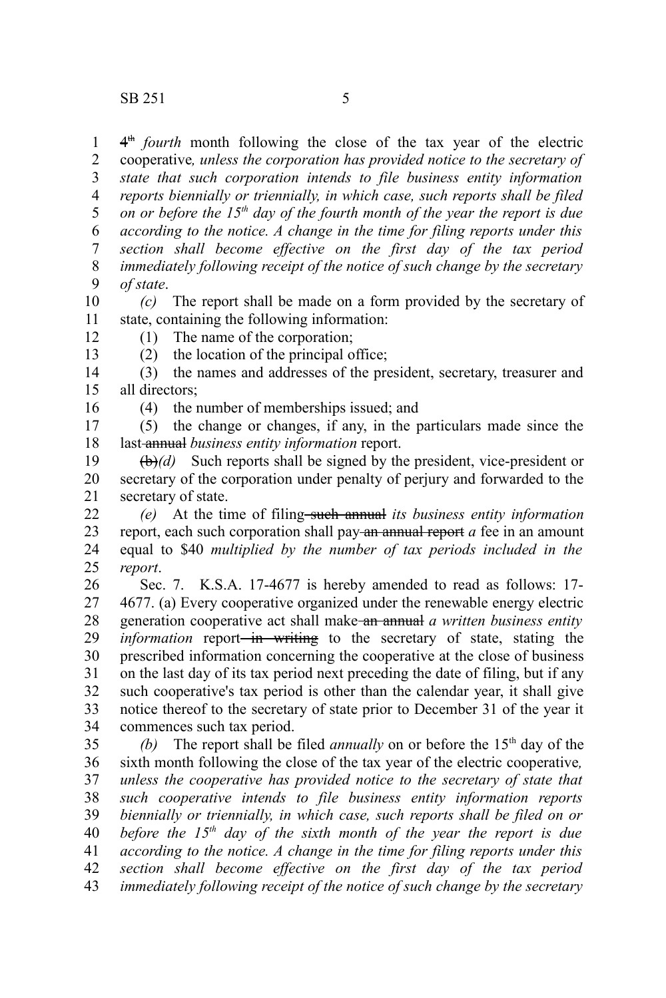4<sup>th</sup> fourth month following the close of the tax year of the electric cooperative*, unless the corporation has provided notice to the secretary of state that such corporation intends to file business entity information reports biennially or triennially, in which case, such reports shall be filed on or before the 15th day of the fourth month of the year the report is due according to the notice. A change in the time for filing reports under this section shall become effective on the first day of the tax period immediately following receipt of the notice of such change by the secretary of state*. 1 2 3 4 5 6 7 8 9

*(c)* The report shall be made on a form provided by the secretary of state, containing the following information: 10 11

(1) The name of the corporation;

(2) the location of the principal office;

(3) the names and addresses of the president, secretary, treasurer and all directors; 14 15

16

12 13

(4) the number of memberships issued; and

(5) the change or changes, if any, in the particulars made since the last annual *business entity information* report. 17 18

(b)*(d)* Such reports shall be signed by the president, vice-president or secretary of the corporation under penalty of perjury and forwarded to the secretary of state. 19 20 21

*(e)* At the time of filing such annual *its business entity information* report, each such corporation shall pay an annual report *a* fee in an amount equal to \$40 *multiplied by the number of tax periods included in the report*. 22 23 24 25

Sec. 7. K.S.A. 17-4677 is hereby amended to read as follows: 17- 4677. (a) Every cooperative organized under the renewable energy electric generation cooperative act shall make an annual *a written business entity information* report<del> in writing</del> to the secretary of state, stating the prescribed information concerning the cooperative at the close of business on the last day of its tax period next preceding the date of filing, but if any such cooperative's tax period is other than the calendar year, it shall give notice thereof to the secretary of state prior to December 31 of the year it commences such tax period. 26 27 28 29 30 31 32 33 34

*(b)* The report shall be filed *annually* on or before the  $15<sup>th</sup>$  day of the sixth month following the close of the tax year of the electric cooperative*, unless the cooperative has provided notice to the secretary of state that such cooperative intends to file business entity information reports biennially or triennially, in which case, such reports shall be filed on or before the 15th day of the sixth month of the year the report is due according to the notice. A change in the time for filing reports under this section shall become effective on the first day of the tax period immediately following receipt of the notice of such change by the secretary* 35 36 37 38 39 40 41 42 43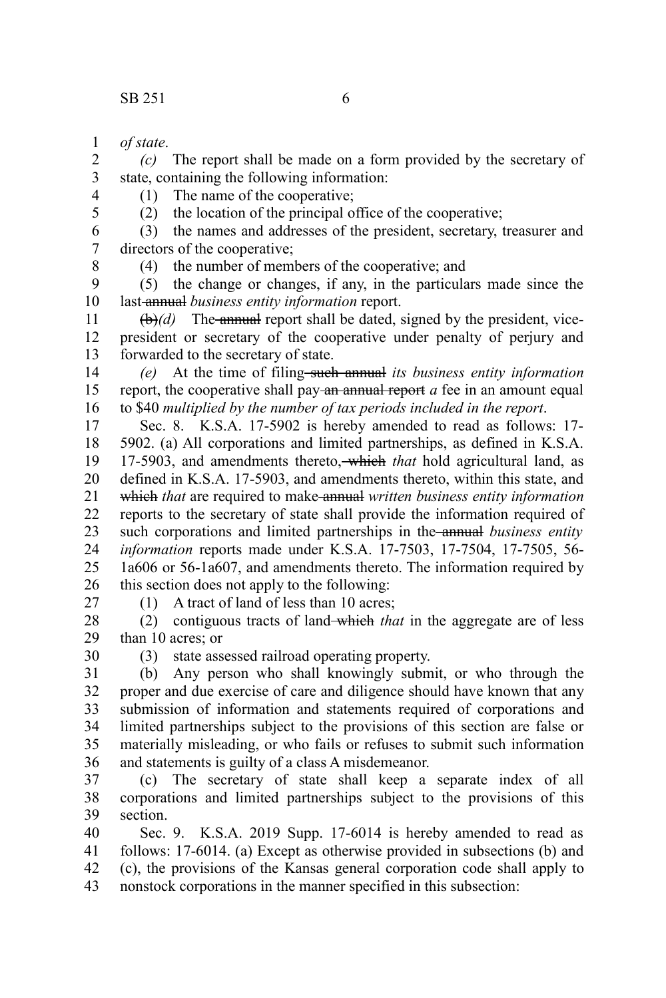*of state*. 1

*(c)* The report shall be made on a form provided by the secretary of state, containing the following information: 2 3 4

(1) The name of the cooperative;

(2) the location of the principal office of the cooperative;

(3) the names and addresses of the president, secretary, treasurer and directors of the cooperative; 6 7

8

5

(4) the number of members of the cooperative; and

(5) the change or changes, if any, in the particulars made since the last annual *business entity information* report. 9 10

 $(\theta)$ *(d)* The annual report shall be dated, signed by the president, vicepresident or secretary of the cooperative under penalty of perjury and forwarded to the secretary of state. 11 12 13

*(e)* At the time of filing such annual *its business entity information* report, the cooperative shall pay an annual report *a* fee in an amount equal to \$40 *multiplied by the number of tax periods included in the report*. 14 15 16

Sec. 8. K.S.A. 17-5902 is hereby amended to read as follows: 17- 5902. (a) All corporations and limited partnerships, as defined in K.S.A. 17-5903, and amendments thereto, which *that* hold agricultural land, as defined in K.S.A. 17-5903, and amendments thereto, within this state, and which *that* are required to make annual *written business entity information* reports to the secretary of state shall provide the information required of such corporations and limited partnerships in the annual *business entity information* reports made under K.S.A. 17-7503, 17-7504, 17-7505, 56- 1a606 or 56-1a607, and amendments thereto. The information required by this section does not apply to the following: 17 18 19 20 21 22 23 24 25 26

27

(1) A tract of land of less than 10 acres;

(2) contiguous tracts of land which *that* in the aggregate are of less than 10 acres; or 28 29

30

(3) state assessed railroad operating property.

(b) Any person who shall knowingly submit, or who through the proper and due exercise of care and diligence should have known that any submission of information and statements required of corporations and limited partnerships subject to the provisions of this section are false or materially misleading, or who fails or refuses to submit such information and statements is guilty of a class A misdemeanor. 31 32 33 34 35 36

(c) The secretary of state shall keep a separate index of all corporations and limited partnerships subject to the provisions of this section. 37 38 39

Sec. 9. K.S.A. 2019 Supp. 17-6014 is hereby amended to read as follows: 17-6014. (a) Except as otherwise provided in subsections (b) and (c), the provisions of the Kansas general corporation code shall apply to nonstock corporations in the manner specified in this subsection: 40 41 42 43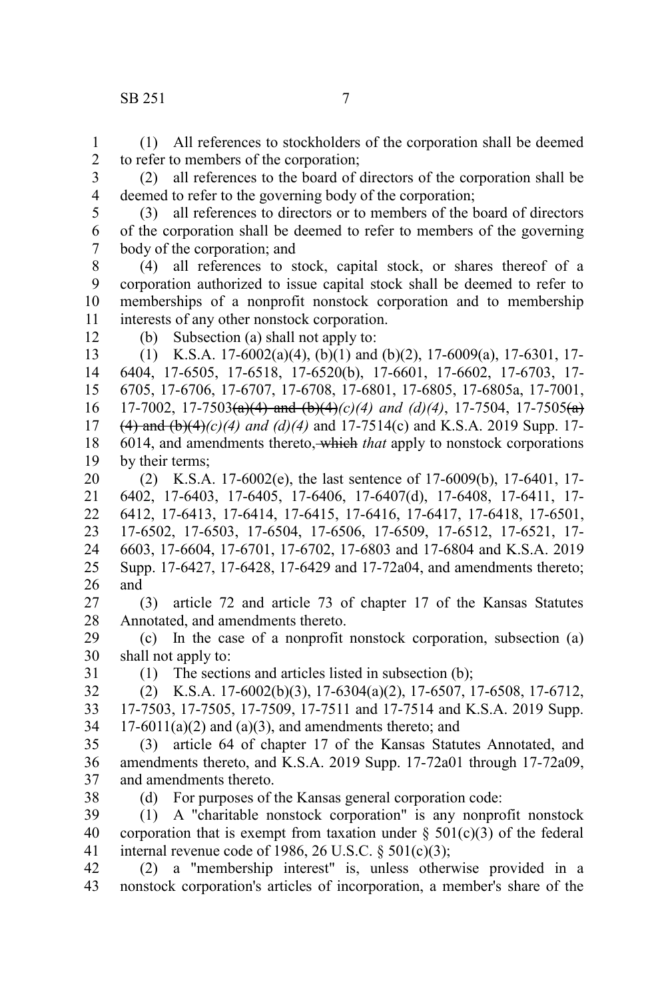(1) All references to stockholders of the corporation shall be deemed to refer to members of the corporation; 1 2

(2) all references to the board of directors of the corporation shall be deemed to refer to the governing body of the corporation; 3 4

5

(3) all references to directors or to members of the board of directors of the corporation shall be deemed to refer to members of the governing body of the corporation; and 6 7

(4) all references to stock, capital stock, or shares thereof of a corporation authorized to issue capital stock shall be deemed to refer to memberships of a nonprofit nonstock corporation and to membership interests of any other nonstock corporation. 8 9 10 11

12

(b) Subsection (a) shall not apply to:

(1) K.S.A. 17-6002(a)(4), (b)(1) and (b)(2), 17-6009(a), 17-6301, 17- 6404, 17-6505, 17-6518, 17-6520(b), 17-6601, 17-6602, 17-6703, 17- 6705, 17-6706, 17-6707, 17-6708, 17-6801, 17-6805, 17-6805a, 17-7001, 17-7002, 17-7503(a)(4) and (b)(4)*(c)(4) and (d)(4)*, 17-7504, 17-7505(a) (4) and (b)(4)*(c)(4) and (d)(4)* and 17-7514(c) and K.S.A. 2019 Supp. 17- 6014, and amendments thereto, which *that* apply to nonstock corporations by their terms; 13 14 15 16 17 18 19

(2) K.S.A. 17-6002(e), the last sentence of 17-6009(b), 17-6401, 17- 6402, 17-6403, 17-6405, 17-6406, 17-6407(d), 17-6408, 17-6411, 17- 6412, 17-6413, 17-6414, 17-6415, 17-6416, 17-6417, 17-6418, 17-6501, 17-6502, 17-6503, 17-6504, 17-6506, 17-6509, 17-6512, 17-6521, 17- 6603, 17-6604, 17-6701, 17-6702, 17-6803 and 17-6804 and K.S.A. 2019 Supp. 17-6427, 17-6428, 17-6429 and 17-72a04, and amendments thereto; and 20 21 22 23 24 25 26

(3) article 72 and article 73 of chapter 17 of the Kansas Statutes Annotated, and amendments thereto. 27 28

(c) In the case of a nonprofit nonstock corporation, subsection (a) shall not apply to: 29 30

31

(1) The sections and articles listed in subsection (b);

(2) K.S.A. 17-6002(b)(3), 17-6304(a)(2), 17-6507, 17-6508, 17-6712, 17-7503, 17-7505, 17-7509, 17-7511 and 17-7514 and K.S.A. 2019 Supp.  $17-6011(a)(2)$  and  $(a)(3)$ , and amendments thereto; and 32 33 34

(3) article 64 of chapter 17 of the Kansas Statutes Annotated, and amendments thereto, and K.S.A. 2019 Supp. 17-72a01 through 17-72a09, and amendments thereto. 35 36 37

38

(d) For purposes of the Kansas general corporation code:

(1) A "charitable nonstock corporation" is any nonprofit nonstock corporation that is exempt from taxation under  $\S$  501(c)(3) of the federal internal revenue code of 1986, 26 U.S.C.  $\S$  501(c)(3); 39 40 41

(2) a "membership interest" is, unless otherwise provided in a nonstock corporation's articles of incorporation, a member's share of the 42 43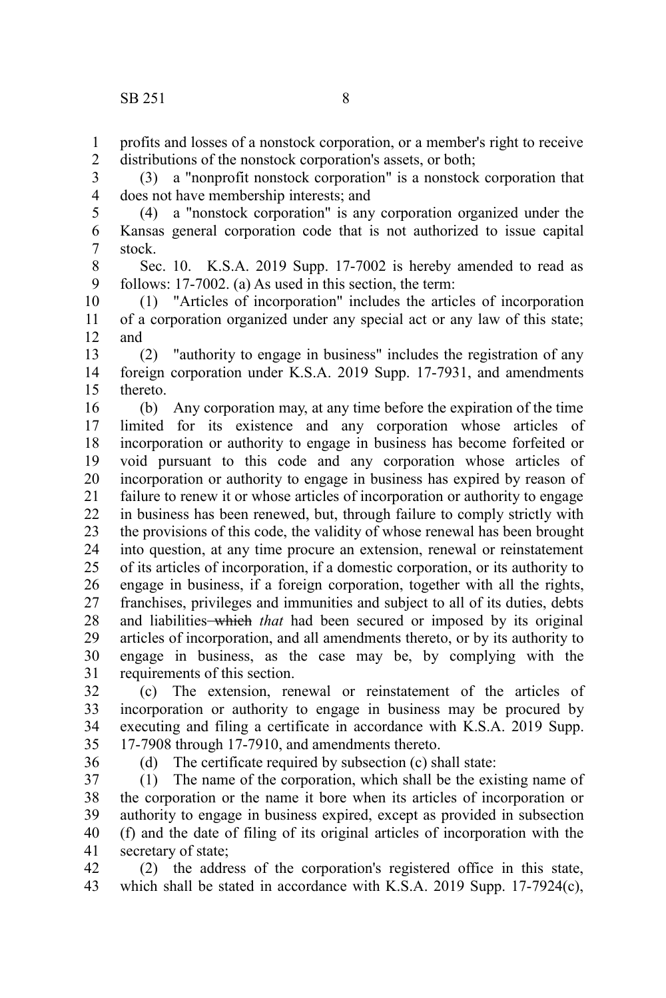profits and losses of a nonstock corporation, or a member's right to receive distributions of the nonstock corporation's assets, or both; 1 2

(3) a "nonprofit nonstock corporation" is a nonstock corporation that does not have membership interests; and 3 4

(4) a "nonstock corporation" is any corporation organized under the Kansas general corporation code that is not authorized to issue capital stock. 5 6 7

Sec. 10. K.S.A. 2019 Supp. 17-7002 is hereby amended to read as follows: 17-7002. (a) As used in this section, the term: 8 9

(1) "Articles of incorporation" includes the articles of incorporation of a corporation organized under any special act or any law of this state; and 10 11 12

(2) "authority to engage in business" includes the registration of any foreign corporation under K.S.A. 2019 Supp. 17-7931, and amendments thereto. 13 14 15

(b) Any corporation may, at any time before the expiration of the time limited for its existence and any corporation whose articles of incorporation or authority to engage in business has become forfeited or void pursuant to this code and any corporation whose articles of incorporation or authority to engage in business has expired by reason of failure to renew it or whose articles of incorporation or authority to engage in business has been renewed, but, through failure to comply strictly with the provisions of this code, the validity of whose renewal has been brought into question, at any time procure an extension, renewal or reinstatement of its articles of incorporation, if a domestic corporation, or its authority to engage in business, if a foreign corporation, together with all the rights, franchises, privileges and immunities and subject to all of its duties, debts and liabilities<del> which</del> that had been secured or imposed by its original articles of incorporation, and all amendments thereto, or by its authority to engage in business, as the case may be, by complying with the requirements of this section. 16 17 18 19 20 21 22 23 24 25 26 27 28 29 30 31

(c) The extension, renewal or reinstatement of the articles of incorporation or authority to engage in business may be procured by executing and filing a certificate in accordance with K.S.A. 2019 Supp. 17-7908 through 17-7910, and amendments thereto. 32 33 34 35

36

(d) The certificate required by subsection (c) shall state:

(1) The name of the corporation, which shall be the existing name of the corporation or the name it bore when its articles of incorporation or authority to engage in business expired, except as provided in subsection (f) and the date of filing of its original articles of incorporation with the secretary of state; 37 38 39 40 41

(2) the address of the corporation's registered office in this state, which shall be stated in accordance with K.S.A. 2019 Supp. 17-7924(c), 42 43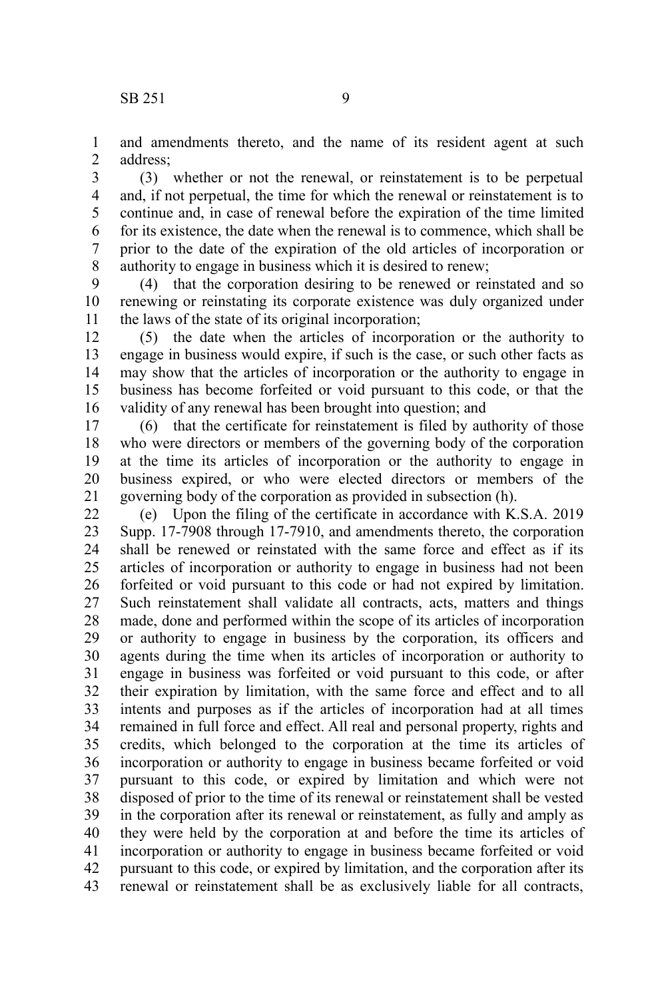1

and amendments thereto, and the name of its resident agent at such address; 2

(3) whether or not the renewal, or reinstatement is to be perpetual and, if not perpetual, the time for which the renewal or reinstatement is to continue and, in case of renewal before the expiration of the time limited for its existence, the date when the renewal is to commence, which shall be prior to the date of the expiration of the old articles of incorporation or authority to engage in business which it is desired to renew; 3 4 5 6 7 8

(4) that the corporation desiring to be renewed or reinstated and so renewing or reinstating its corporate existence was duly organized under the laws of the state of its original incorporation; 9 10 11

(5) the date when the articles of incorporation or the authority to engage in business would expire, if such is the case, or such other facts as may show that the articles of incorporation or the authority to engage in business has become forfeited or void pursuant to this code, or that the validity of any renewal has been brought into question; and 12 13 14 15 16

(6) that the certificate for reinstatement is filed by authority of those who were directors or members of the governing body of the corporation at the time its articles of incorporation or the authority to engage in business expired, or who were elected directors or members of the governing body of the corporation as provided in subsection (h). 17 18 19 20 21

(e) Upon the filing of the certificate in accordance with K.S.A. 2019 Supp. 17-7908 through 17-7910, and amendments thereto, the corporation shall be renewed or reinstated with the same force and effect as if its articles of incorporation or authority to engage in business had not been forfeited or void pursuant to this code or had not expired by limitation. Such reinstatement shall validate all contracts, acts, matters and things made, done and performed within the scope of its articles of incorporation or authority to engage in business by the corporation, its officers and agents during the time when its articles of incorporation or authority to engage in business was forfeited or void pursuant to this code, or after their expiration by limitation, with the same force and effect and to all intents and purposes as if the articles of incorporation had at all times remained in full force and effect. All real and personal property, rights and credits, which belonged to the corporation at the time its articles of incorporation or authority to engage in business became forfeited or void pursuant to this code, or expired by limitation and which were not disposed of prior to the time of its renewal or reinstatement shall be vested in the corporation after its renewal or reinstatement, as fully and amply as they were held by the corporation at and before the time its articles of incorporation or authority to engage in business became forfeited or void pursuant to this code, or expired by limitation, and the corporation after its renewal or reinstatement shall be as exclusively liable for all contracts, 22 23 24 25 26 27 28 29 30 31 32 33 34 35 36 37 38 39 40 41 42 43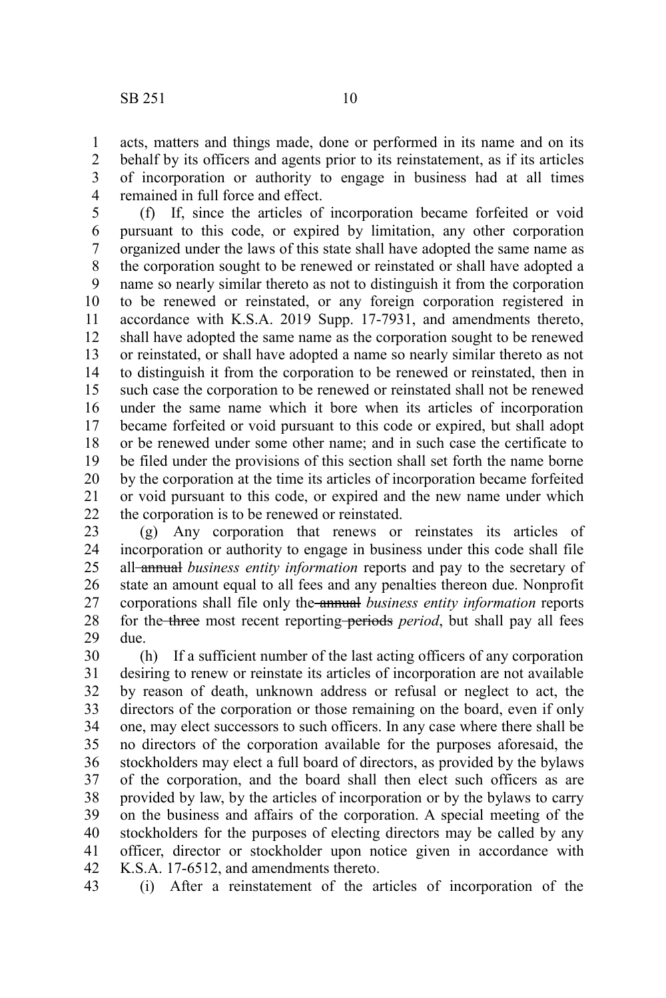acts, matters and things made, done or performed in its name and on its behalf by its officers and agents prior to its reinstatement, as if its articles of incorporation or authority to engage in business had at all times remained in full force and effect. 1 2 3 4

(f) If, since the articles of incorporation became forfeited or void pursuant to this code, or expired by limitation, any other corporation organized under the laws of this state shall have adopted the same name as the corporation sought to be renewed or reinstated or shall have adopted a name so nearly similar thereto as not to distinguish it from the corporation to be renewed or reinstated, or any foreign corporation registered in accordance with K.S.A. 2019 Supp. 17-7931, and amendments thereto, shall have adopted the same name as the corporation sought to be renewed or reinstated, or shall have adopted a name so nearly similar thereto as not to distinguish it from the corporation to be renewed or reinstated, then in such case the corporation to be renewed or reinstated shall not be renewed under the same name which it bore when its articles of incorporation became forfeited or void pursuant to this code or expired, but shall adopt or be renewed under some other name; and in such case the certificate to be filed under the provisions of this section shall set forth the name borne by the corporation at the time its articles of incorporation became forfeited or void pursuant to this code, or expired and the new name under which the corporation is to be renewed or reinstated. 5 6 7 8 9 10 11 12 13 14 15 16 17 18 19 20 21 22

(g) Any corporation that renews or reinstates its articles of incorporation or authority to engage in business under this code shall file all annual *business entity information* reports and pay to the secretary of state an amount equal to all fees and any penalties thereon due. Nonprofit corporations shall file only the annual *business entity information* reports for the three most recent reporting periods *period*, but shall pay all fees due. 23 24 25 26 27 28 29

(h) If a sufficient number of the last acting officers of any corporation desiring to renew or reinstate its articles of incorporation are not available by reason of death, unknown address or refusal or neglect to act, the directors of the corporation or those remaining on the board, even if only one, may elect successors to such officers. In any case where there shall be no directors of the corporation available for the purposes aforesaid, the stockholders may elect a full board of directors, as provided by the bylaws of the corporation, and the board shall then elect such officers as are provided by law, by the articles of incorporation or by the bylaws to carry on the business and affairs of the corporation. A special meeting of the stockholders for the purposes of electing directors may be called by any officer, director or stockholder upon notice given in accordance with K.S.A. 17-6512, and amendments thereto. 30 31 32 33 34 35 36 37 38 39 40 41 42

(i) After a reinstatement of the articles of incorporation of the 43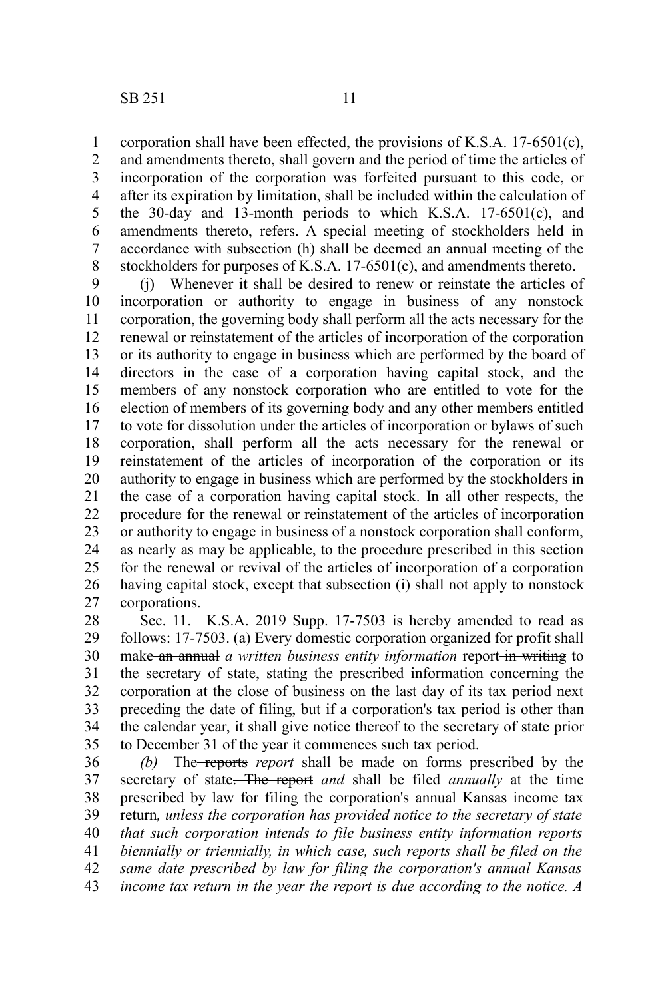corporation shall have been effected, the provisions of K.S.A. 17-6501(c), and amendments thereto, shall govern and the period of time the articles of incorporation of the corporation was forfeited pursuant to this code, or after its expiration by limitation, shall be included within the calculation of the 30-day and 13-month periods to which K.S.A. 17-6501(c), and amendments thereto, refers. A special meeting of stockholders held in accordance with subsection (h) shall be deemed an annual meeting of the stockholders for purposes of K.S.A. 17-6501(c), and amendments thereto. 1 2 3 4 5 6 7 8

(j) Whenever it shall be desired to renew or reinstate the articles of incorporation or authority to engage in business of any nonstock corporation, the governing body shall perform all the acts necessary for the renewal or reinstatement of the articles of incorporation of the corporation or its authority to engage in business which are performed by the board of directors in the case of a corporation having capital stock, and the members of any nonstock corporation who are entitled to vote for the election of members of its governing body and any other members entitled to vote for dissolution under the articles of incorporation or bylaws of such corporation, shall perform all the acts necessary for the renewal or reinstatement of the articles of incorporation of the corporation or its authority to engage in business which are performed by the stockholders in the case of a corporation having capital stock. In all other respects, the procedure for the renewal or reinstatement of the articles of incorporation or authority to engage in business of a nonstock corporation shall conform, as nearly as may be applicable, to the procedure prescribed in this section for the renewal or revival of the articles of incorporation of a corporation having capital stock, except that subsection (i) shall not apply to nonstock corporations. 9 10 11 12 13 14 15 16 17 18 19 20 21 22 23 24 25 26 27

Sec. 11. K.S.A. 2019 Supp. 17-7503 is hereby amended to read as follows: 17-7503. (a) Every domestic corporation organized for profit shall make an annual *a written business entity information* report-in writing to the secretary of state, stating the prescribed information concerning the corporation at the close of business on the last day of its tax period next preceding the date of filing, but if a corporation's tax period is other than the calendar year, it shall give notice thereof to the secretary of state prior to December 31 of the year it commences such tax period. 28 29 30 31 32 33 34 35

*(b)* The reports *report* shall be made on forms prescribed by the secretary of state. The report *and* shall be filed *annually* at the time prescribed by law for filing the corporation's annual Kansas income tax return*, unless the corporation has provided notice to the secretary of state that such corporation intends to file business entity information reports biennially or triennially, in which case, such reports shall be filed on the same date prescribed by law for filing the corporation's annual Kansas income tax return in the year the report is due according to the notice. A* 36 37 38 39 40 41 42 43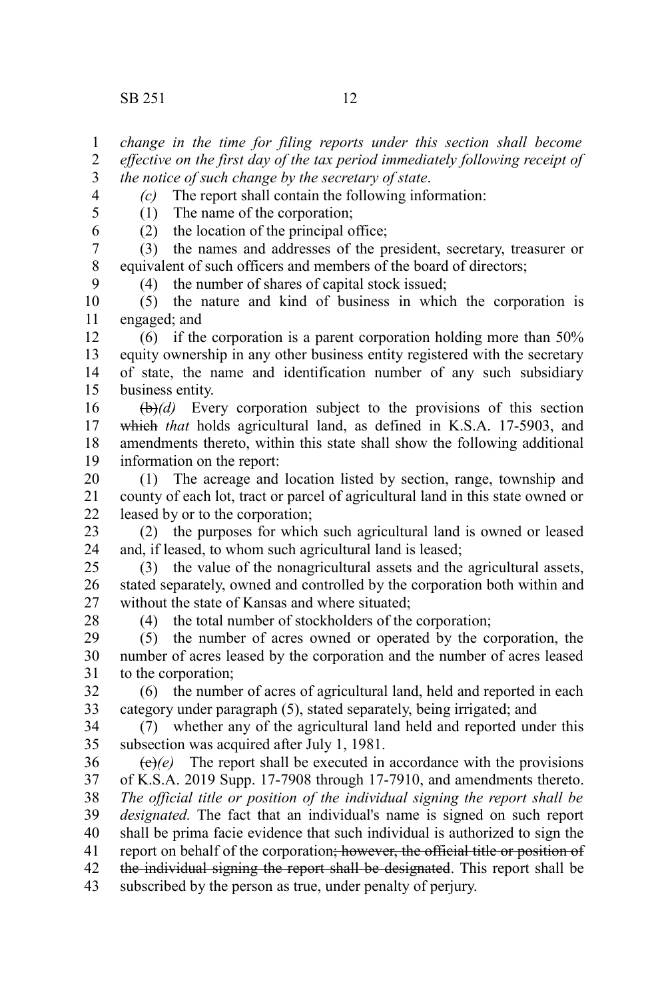*change in the time for filing reports under this section shall become effective on the first day of the tax period immediately following receipt of the notice of such change by the secretary of state*. 1 2 3

*(c)* The report shall contain the following information:

4 5 6

9

(1) The name of the corporation;

(2) the location of the principal office;

(3) the names and addresses of the president, secretary, treasurer or equivalent of such officers and members of the board of directors; 7 8

(4) the number of shares of capital stock issued;

(5) the nature and kind of business in which the corporation is engaged; and 10 11

(6) if the corporation is a parent corporation holding more than 50% equity ownership in any other business entity registered with the secretary of state, the name and identification number of any such subsidiary business entity. 12 13 14 15

(b)*(d)* Every corporation subject to the provisions of this section which *that* holds agricultural land, as defined in K.S.A. 17-5903, and amendments thereto, within this state shall show the following additional information on the report: 16 17 18 19

(1) The acreage and location listed by section, range, township and county of each lot, tract or parcel of agricultural land in this state owned or leased by or to the corporation; 20 21 22

(2) the purposes for which such agricultural land is owned or leased and, if leased, to whom such agricultural land is leased; 23 24

(3) the value of the nonagricultural assets and the agricultural assets, stated separately, owned and controlled by the corporation both within and without the state of Kansas and where situated; 25 26 27

28

(4) the total number of stockholders of the corporation;

(5) the number of acres owned or operated by the corporation, the number of acres leased by the corporation and the number of acres leased to the corporation; 29 30 31

(6) the number of acres of agricultural land, held and reported in each category under paragraph (5), stated separately, being irrigated; and 32 33

(7) whether any of the agricultural land held and reported under this subsection was acquired after July 1, 1981. 34 35

 $(e)(e)$  The report shall be executed in accordance with the provisions of K.S.A. 2019 Supp. 17-7908 through 17-7910, and amendments thereto. *The official title or position of the individual signing the report shall be designated.* The fact that an individual's name is signed on such report shall be prima facie evidence that such individual is authorized to sign the report on behalf of the corporation; however, the official title or position of the individual signing the report shall be designated. This report shall be subscribed by the person as true, under penalty of perjury. 36 37 38 39 40 41 42 43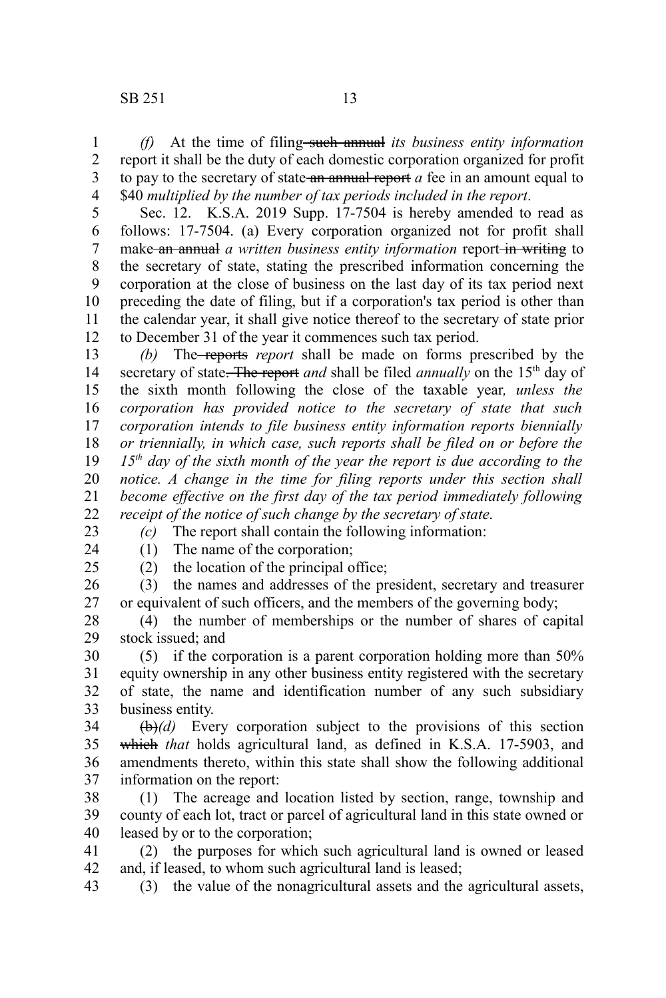*(f)* At the time of filing such annual *its business entity information* report it shall be the duty of each domestic corporation organized for profit to pay to the secretary of state an annual report *a* fee in an amount equal to \$40 *multiplied by the number of tax periods included in the report*. 1 2 3 4

Sec. 12. K.S.A. 2019 Supp. 17-7504 is hereby amended to read as follows: 17-7504. (a) Every corporation organized not for profit shall make an annual *a written business entity information* report in writing to the secretary of state, stating the prescribed information concerning the corporation at the close of business on the last day of its tax period next preceding the date of filing, but if a corporation's tax period is other than the calendar year, it shall give notice thereof to the secretary of state prior to December 31 of the year it commences such tax period. 5 6 7 8 9 10 11 12

*(b)* The reports *report* shall be made on forms prescribed by the secretary of state. The report *and* shall be filed *annually* on the 15<sup>th</sup> day of the sixth month following the close of the taxable year*, unless the corporation has provided notice to the secretary of state that such corporation intends to file business entity information reports biennially or triennially, in which case, such reports shall be filed on or before the 15th day of the sixth month of the year the report is due according to the notice. A change in the time for filing reports under this section shall become effective on the first day of the tax period immediately following receipt of the notice of such change by the secretary of state*. 13 14 15 16 17 18 19 20 21 22

*(c)* The report shall contain the following information:

23 24

(1) The name of the corporation;

(2) the location of the principal office;

25

(3) the names and addresses of the president, secretary and treasurer or equivalent of such officers, and the members of the governing body; 26 27

(4) the number of memberships or the number of shares of capital stock issued; and 28 29

(5) if the corporation is a parent corporation holding more than 50% equity ownership in any other business entity registered with the secretary of state, the name and identification number of any such subsidiary business entity. 30 31 32 33

(b)*(d)* Every corporation subject to the provisions of this section which *that* holds agricultural land, as defined in K.S.A. 17-5903, and amendments thereto, within this state shall show the following additional information on the report: 34 35 36 37

(1) The acreage and location listed by section, range, township and county of each lot, tract or parcel of agricultural land in this state owned or leased by or to the corporation; 38 39 40

(2) the purposes for which such agricultural land is owned or leased and, if leased, to whom such agricultural land is leased; 41 42

(3) the value of the nonagricultural assets and the agricultural assets, 43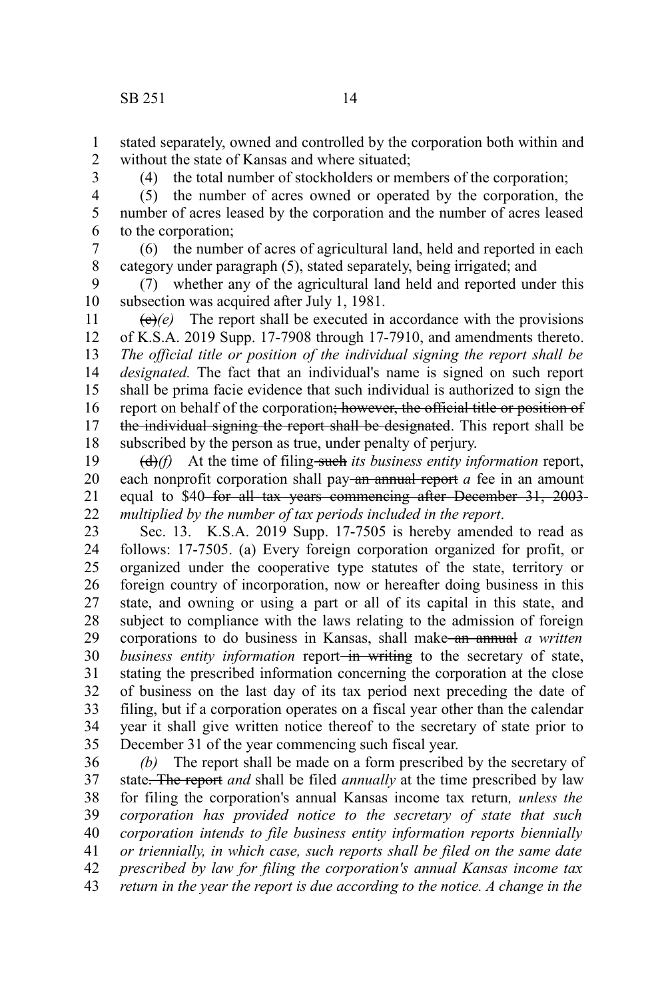stated separately, owned and controlled by the corporation both within and without the state of Kansas and where situated; 1 2

3

(4) the total number of stockholders or members of the corporation;

(5) the number of acres owned or operated by the corporation, the number of acres leased by the corporation and the number of acres leased to the corporation; 4 5 6

(6) the number of acres of agricultural land, held and reported in each category under paragraph (5), stated separately, being irrigated; and 7 8

(7) whether any of the agricultural land held and reported under this subsection was acquired after July 1, 1981. 9 10

 $\langle e \rangle$ (e) The report shall be executed in accordance with the provisions of K.S.A. 2019 Supp. 17-7908 through 17-7910, and amendments thereto. *The official title or position of the individual signing the report shall be designated.* The fact that an individual's name is signed on such report shall be prima facie evidence that such individual is authorized to sign the report on behalf of the corporation; however, the official title or position of the individual signing the report shall be designated. This report shall be subscribed by the person as true, under penalty of perjury. 11 12 13 14 15 16 17 18

(d)*(f)* At the time of filing such *its business entity information* report, each nonprofit corporation shall pay-an annual report *a* fee in an amount equal to \$40 for all tax years commencing after December 31, 2003 *multiplied by the number of tax periods included in the report*. 19 20 21 22

Sec. 13. K.S.A. 2019 Supp. 17-7505 is hereby amended to read as follows: 17-7505. (a) Every foreign corporation organized for profit, or organized under the cooperative type statutes of the state, territory or foreign country of incorporation, now or hereafter doing business in this state, and owning or using a part or all of its capital in this state, and subject to compliance with the laws relating to the admission of foreign corporations to do business in Kansas, shall make an annual *a written business entity information* report—in writing to the secretary of state, stating the prescribed information concerning the corporation at the close of business on the last day of its tax period next preceding the date of filing, but if a corporation operates on a fiscal year other than the calendar year it shall give written notice thereof to the secretary of state prior to December 31 of the year commencing such fiscal year. 23 24 25 26 27 28 29 30 31 32 33 34 35

*(b)* The report shall be made on a form prescribed by the secretary of state. The report *and* shall be filed *annually* at the time prescribed by law for filing the corporation's annual Kansas income tax return*, unless the corporation has provided notice to the secretary of state that such corporation intends to file business entity information reports biennially or triennially, in which case, such reports shall be filed on the same date prescribed by law for filing the corporation's annual Kansas income tax return in the year the report is due according to the notice. A change in the* 36 37 38 39 40 41 42 43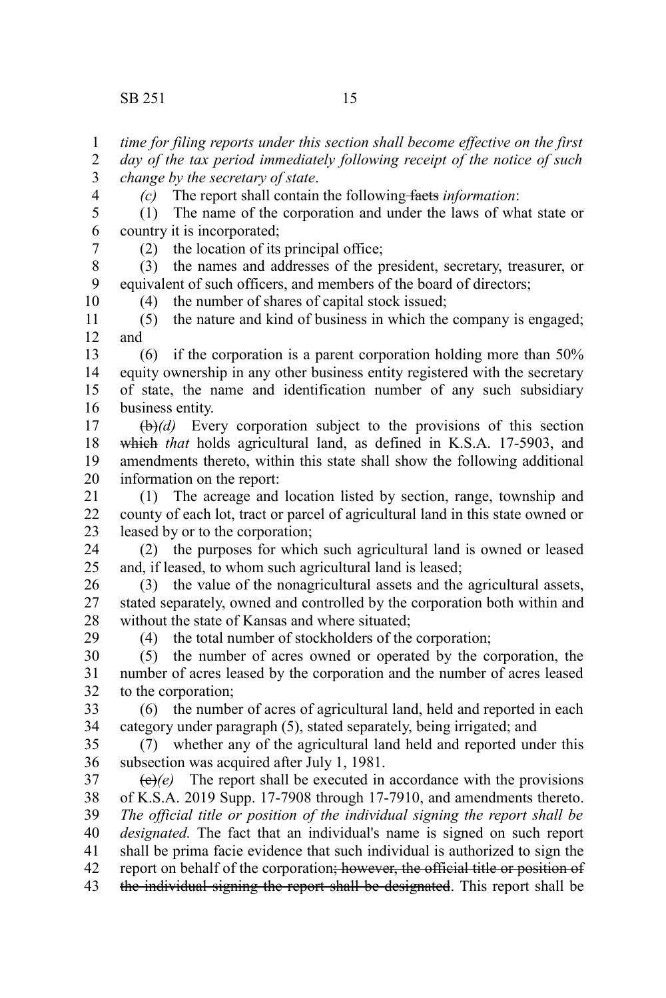*change by the secretary of state*.

country it is incorporated;

*time for filing reports under this section shall become effective on the first day of the tax period immediately following receipt of the notice of such*

(1) The name of the corporation and under the laws of what state or

*(c)* The report shall contain the following facts *information*:

(2) the location of its principal office; (3) the names and addresses of the president, secretary, treasurer, or equivalent of such officers, and members of the board of directors; (4) the number of shares of capital stock issued; (5) the nature and kind of business in which the company is engaged; and (6) if the corporation is a parent corporation holding more than 50% equity ownership in any other business entity registered with the secretary of state, the name and identification number of any such subsidiary business entity. (b)*(d)* Every corporation subject to the provisions of this section which *that* holds agricultural land, as defined in K.S.A. 17-5903, and amendments thereto, within this state shall show the following additional information on the report: (1) The acreage and location listed by section, range, township and county of each lot, tract or parcel of agricultural land in this state owned or leased by or to the corporation; (2) the purposes for which such agricultural land is owned or leased and, if leased, to whom such agricultural land is leased; (3) the value of the nonagricultural assets and the agricultural assets, stated separately, owned and controlled by the corporation both within and without the state of Kansas and where situated; (4) the total number of stockholders of the corporation; (5) the number of acres owned or operated by the corporation, the number of acres leased by the corporation and the number of acres leased to the corporation; (6) the number of acres of agricultural land, held and reported in each category under paragraph (5), stated separately, being irrigated; and (7) whether any of the agricultural land held and reported under this subsection was acquired after July 1, 1981.  $\langle e \rangle$ (e) The report shall be executed in accordance with the provisions of K.S.A. 2019 Supp. 17-7908 through 17-7910, and amendments thereto. *The official title or position of the individual signing the report shall be designated.* The fact that an individual's name is signed on such report shall be prima facie evidence that such individual is authorized to sign the report on behalf of the corporation; however, the official title or position of the individual signing the report shall be designated. This report shall be 7 8 9 10 11 12 13 14 15 16 17 18 19 20 21 22 23 24 25 26 27 28 29 30 31 32 33 34 35 36 37 38 39 40 41 42 43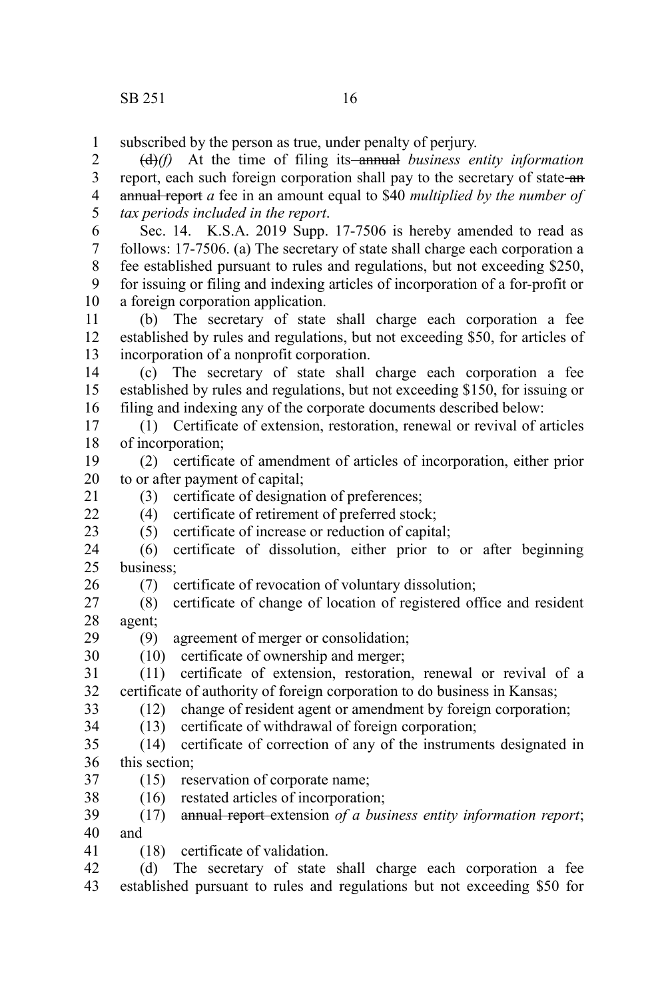$22$ 

26

subscribed by the person as true, under penalty of perjury. 1

(d)*(f)* At the time of filing its annual *business entity information* report, each such foreign corporation shall pay to the secretary of state an annual report *a* fee in an amount equal to \$40 *multiplied by the number of tax periods included in the report*. 2 3 4 5

Sec. 14. K.S.A. 2019 Supp. 17-7506 is hereby amended to read as follows: 17-7506. (a) The secretary of state shall charge each corporation a fee established pursuant to rules and regulations, but not exceeding \$250, for issuing or filing and indexing articles of incorporation of a for-profit or a foreign corporation application. 6 7 8 9 10

(b) The secretary of state shall charge each corporation a fee established by rules and regulations, but not exceeding \$50, for articles of incorporation of a nonprofit corporation. 11 12 13

(c) The secretary of state shall charge each corporation a fee established by rules and regulations, but not exceeding \$150, for issuing or filing and indexing any of the corporate documents described below: 14 15 16

(1) Certificate of extension, restoration, renewal or revival of articles of incorporation; 17 18

(2) certificate of amendment of articles of incorporation, either prior to or after payment of capital; 19 20

(3) certificate of designation of preferences; 21

(4) certificate of retirement of preferred stock;

(5) certificate of increase or reduction of capital; 23

(6) certificate of dissolution, either prior to or after beginning business; 24 25

(7) certificate of revocation of voluntary dissolution;

(8) certificate of change of location of registered office and resident agent; 27 28

(9) agreement of merger or consolidation; 29

(10) certificate of ownership and merger; 30

(11) certificate of extension, restoration, renewal or revival of a certificate of authority of foreign corporation to do business in Kansas; 31 32 33

(12) change of resident agent or amendment by foreign corporation;

(13) certificate of withdrawal of foreign corporation; 34

(14) certificate of correction of any of the instruments designated in this section; 35 36

(15) reservation of corporate name; 37

(16) restated articles of incorporation; 38

(17) annual report extension *of a business entity information report*; and 39 40

(18) certificate of validation. 41

(d) The secretary of state shall charge each corporation a fee 42

established pursuant to rules and regulations but not exceeding \$50 for 43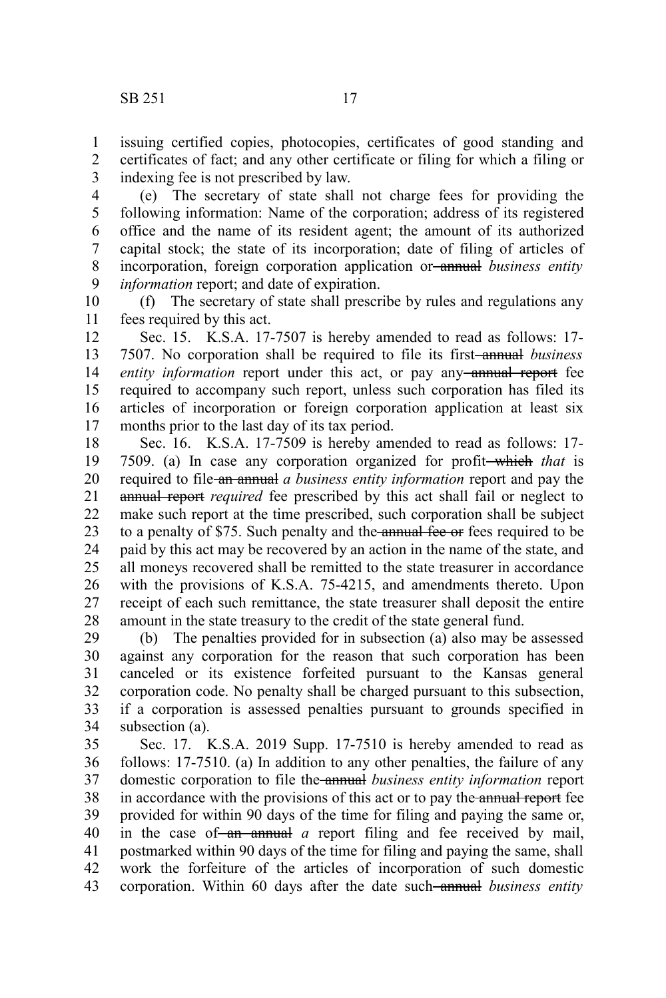issuing certified copies, photocopies, certificates of good standing and certificates of fact; and any other certificate or filing for which a filing or indexing fee is not prescribed by law. 1 2 3

(e) The secretary of state shall not charge fees for providing the following information: Name of the corporation; address of its registered office and the name of its resident agent; the amount of its authorized capital stock; the state of its incorporation; date of filing of articles of incorporation, foreign corporation application or annual *business entity information* report; and date of expiration. 4 5 6 7 8 9

(f) The secretary of state shall prescribe by rules and regulations any fees required by this act. 10 11

Sec. 15. K.S.A. 17-7507 is hereby amended to read as follows: 17- 7507. No corporation shall be required to file its first annual *business entity information* report under this act, or pay any-annual report fee required to accompany such report, unless such corporation has filed its articles of incorporation or foreign corporation application at least six months prior to the last day of its tax period. 12 13 14 15 16 17

Sec. 16. K.S.A. 17-7509 is hereby amended to read as follows: 17- 7509. (a) In case any corporation organized for profit which *that* is required to file an annual *a business entity information* report and pay the annual report *required* fee prescribed by this act shall fail or neglect to make such report at the time prescribed, such corporation shall be subject to a penalty of \$75. Such penalty and the annual fee or fees required to be paid by this act may be recovered by an action in the name of the state, and all moneys recovered shall be remitted to the state treasurer in accordance with the provisions of K.S.A. 75-4215, and amendments thereto. Upon receipt of each such remittance, the state treasurer shall deposit the entire amount in the state treasury to the credit of the state general fund. 18 19 20 21 22 23 24 25 26 27 28

(b) The penalties provided for in subsection (a) also may be assessed against any corporation for the reason that such corporation has been canceled or its existence forfeited pursuant to the Kansas general corporation code. No penalty shall be charged pursuant to this subsection, if a corporation is assessed penalties pursuant to grounds specified in subsection (a). 29 30 31 32 33 34

Sec. 17. K.S.A. 2019 Supp. 17-7510 is hereby amended to read as follows: 17-7510. (a) In addition to any other penalties, the failure of any domestic corporation to file the annual *business entity information* report in accordance with the provisions of this act or to pay the annual report fee provided for within 90 days of the time for filing and paying the same or, in the case of an annual *a* report filing and fee received by mail, postmarked within 90 days of the time for filing and paying the same, shall work the forfeiture of the articles of incorporation of such domestic corporation. Within 60 days after the date such annual *business entity* 35 36 37 38 39 40 41 42 43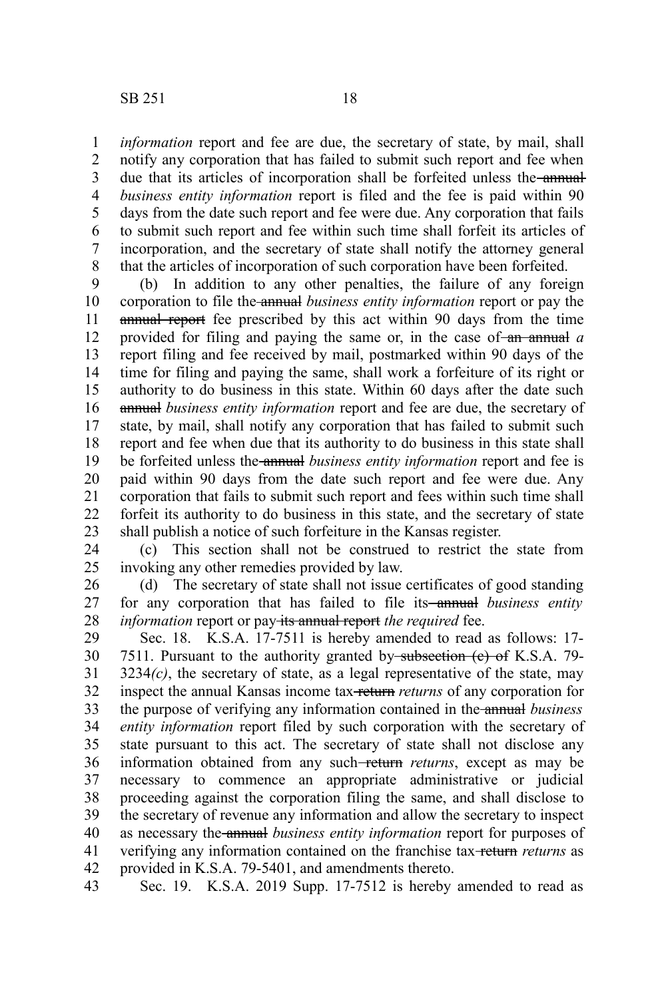*information* report and fee are due, the secretary of state, by mail, shall notify any corporation that has failed to submit such report and fee when due that its articles of incorporation shall be forfeited unless the annual*business entity information* report is filed and the fee is paid within 90 days from the date such report and fee were due. Any corporation that fails to submit such report and fee within such time shall forfeit its articles of incorporation, and the secretary of state shall notify the attorney general that the articles of incorporation of such corporation have been forfeited. 1 2 3 4 5 6 7 8

(b) In addition to any other penalties, the failure of any foreign corporation to file the annual *business entity information* report or pay the annual report fee prescribed by this act within 90 days from the time provided for filing and paying the same or, in the case of an annual *a* report filing and fee received by mail, postmarked within 90 days of the time for filing and paying the same, shall work a forfeiture of its right or authority to do business in this state. Within 60 days after the date such annual *business entity information* report and fee are due, the secretary of state, by mail, shall notify any corporation that has failed to submit such report and fee when due that its authority to do business in this state shall be forfeited unless the annual *business entity information* report and fee is paid within 90 days from the date such report and fee were due. Any corporation that fails to submit such report and fees within such time shall forfeit its authority to do business in this state, and the secretary of state shall publish a notice of such forfeiture in the Kansas register. 9 10 11 12 13 14 15 16 17 18 19 20 21 22 23

(c) This section shall not be construed to restrict the state from invoking any other remedies provided by law. 24 25

(d) The secretary of state shall not issue certificates of good standing for any corporation that has failed to file its<del> annual</del> business entity *information* report or pay-its annual report *the required* fee. 26 27 28

Sec. 18. K.S.A. 17-7511 is hereby amended to read as follows: 17- 7511. Pursuant to the authority granted by subsection (c) of K.S.A. 79- 3234*(c)*, the secretary of state, as a legal representative of the state, may inspect the annual Kansas income tax return *returns* of any corporation for the purpose of verifying any information contained in the annual *business entity information* report filed by such corporation with the secretary of state pursuant to this act. The secretary of state shall not disclose any information obtained from any such-return returns, except as may be necessary to commence an appropriate administrative or judicial proceeding against the corporation filing the same, and shall disclose to the secretary of revenue any information and allow the secretary to inspect as necessary the annual *business entity information* report for purposes of verifying any information contained on the franchise tax return *returns* as provided in K.S.A. 79-5401, and amendments thereto. 29 30 31 32 33 34 35 36 37 38 39 40 41 42

Sec. 19. K.S.A. 2019 Supp. 17-7512 is hereby amended to read as 43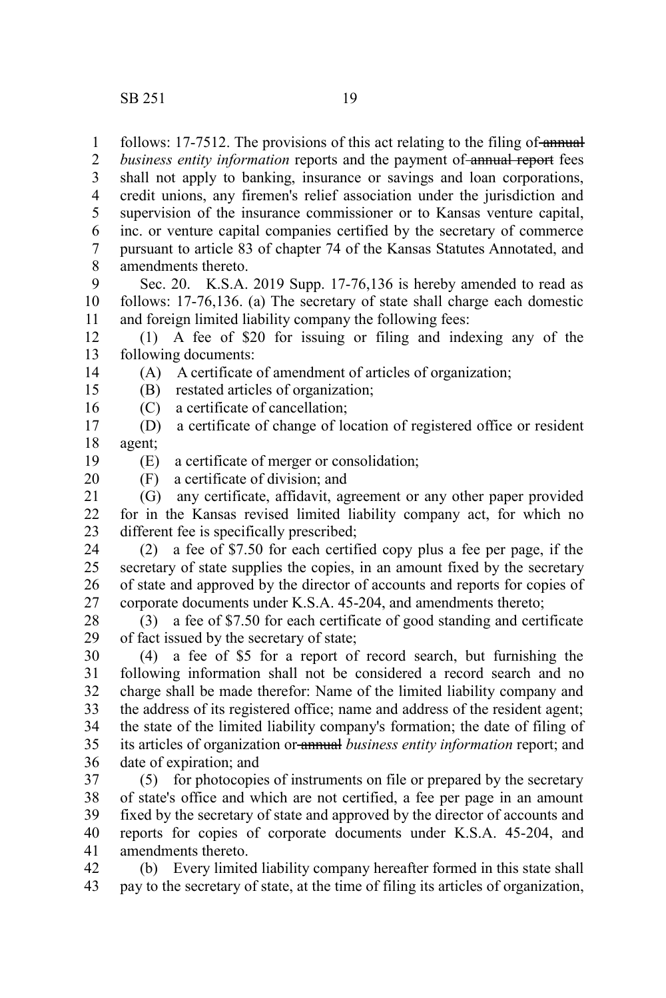follows: 17-7512. The provisions of this act relating to the filing of annual 1

*business entity information* reports and the payment of annual report fees shall not apply to banking, insurance or savings and loan corporations, credit unions, any firemen's relief association under the jurisdiction and supervision of the insurance commissioner or to Kansas venture capital, inc. or venture capital companies certified by the secretary of commerce pursuant to article 83 of chapter 74 of the Kansas Statutes Annotated, and amendments thereto. 2 3 4 5 6 7 8

Sec. 20. K.S.A. 2019 Supp. 17-76,136 is hereby amended to read as follows: 17-76,136. (a) The secretary of state shall charge each domestic and foreign limited liability company the following fees: 9 10 11

(1) A fee of \$20 for issuing or filing and indexing any of the following documents: 12 13

(A) A certificate of amendment of articles of organization;

(B) restated articles of organization; 15

(C) a certificate of cancellation; 16

(D) a certificate of change of location of registered office or resident agent; 17 18

(E) a certificate of merger or consolidation; 19

14

20

(F) a certificate of division; and

(G) any certificate, affidavit, agreement or any other paper provided for in the Kansas revised limited liability company act, for which no different fee is specifically prescribed; 21 22 23

(2) a fee of \$7.50 for each certified copy plus a fee per page, if the secretary of state supplies the copies, in an amount fixed by the secretary of state and approved by the director of accounts and reports for copies of corporate documents under K.S.A. 45-204, and amendments thereto; 24 25 26 27

(3) a fee of \$7.50 for each certificate of good standing and certificate of fact issued by the secretary of state; 28 29

(4) a fee of \$5 for a report of record search, but furnishing the following information shall not be considered a record search and no charge shall be made therefor: Name of the limited liability company and the address of its registered office; name and address of the resident agent; the state of the limited liability company's formation; the date of filing of its articles of organization or annual *business entity information* report; and date of expiration; and 30 31 32 33 34 35 36

(5) for photocopies of instruments on file or prepared by the secretary of state's office and which are not certified, a fee per page in an amount fixed by the secretary of state and approved by the director of accounts and reports for copies of corporate documents under K.S.A. 45-204, and amendments thereto. 37 38 39 40 41

(b) Every limited liability company hereafter formed in this state shall pay to the secretary of state, at the time of filing its articles of organization, 42 43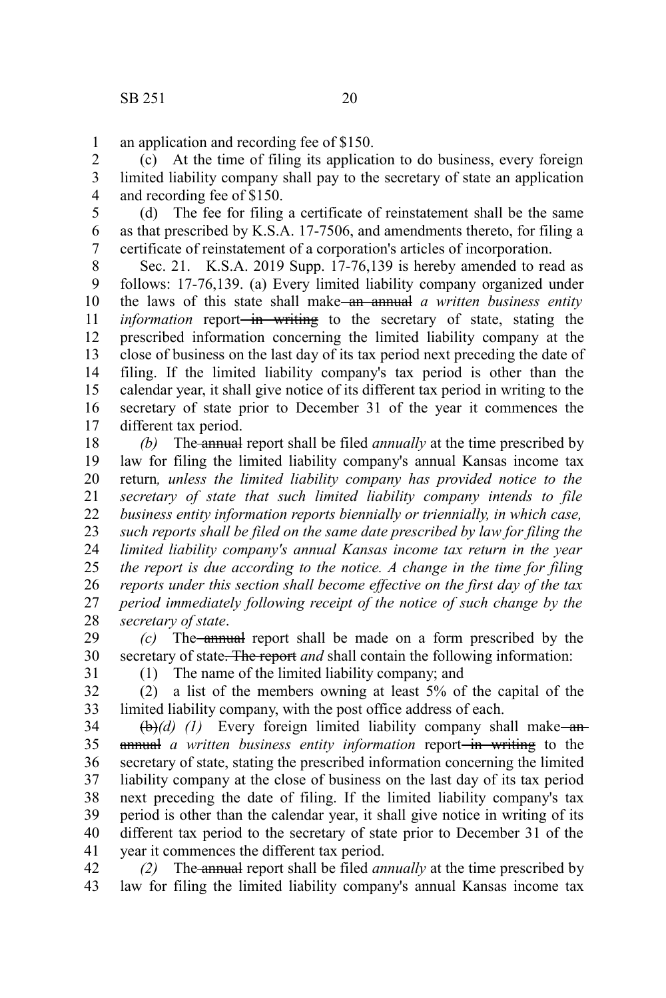an application and recording fee of \$150. 1

(c) At the time of filing its application to do business, every foreign limited liability company shall pay to the secretary of state an application and recording fee of \$150. 2 3 4

(d) The fee for filing a certificate of reinstatement shall be the same as that prescribed by K.S.A. 17-7506, and amendments thereto, for filing a certificate of reinstatement of a corporation's articles of incorporation. 5 6 7

Sec. 21. K.S.A. 2019 Supp. 17-76,139 is hereby amended to read as follows: 17-76,139. (a) Every limited liability company organized under the laws of this state shall make<del> an annual</del> a written business entity *information* report<del> in writing</del> to the secretary of state, stating the prescribed information concerning the limited liability company at the close of business on the last day of its tax period next preceding the date of filing. If the limited liability company's tax period is other than the calendar year, it shall give notice of its different tax period in writing to the secretary of state prior to December 31 of the year it commences the different tax period. 8 9 10 11 12 13 14 15 16 17

*(b)* The annual report shall be filed *annually* at the time prescribed by law for filing the limited liability company's annual Kansas income tax return*, unless the limited liability company has provided notice to the secretary of state that such limited liability company intends to file business entity information reports biennially or triennially, in which case, such reports shall be filed on the same date prescribed by law for filing the limited liability company's annual Kansas income tax return in the year the report is due according to the notice. A change in the time for filing reports under this section shall become effective on the first day of the tax period immediately following receipt of the notice of such change by the secretary of state*. 18 19 20 21 22 23 24 25 26 27 28

*(c)* The annual report shall be made on a form prescribed by the secretary of state. The report *and* shall contain the following information: 29 30

31

(1) The name of the limited liability company; and

(2) a list of the members owning at least 5% of the capital of the limited liability company, with the post office address of each. 32 33

 $(\theta)$ *(d) (1)* Every foreign limited liability company shall make—anannual *a written business entity information* report-in writing to the secretary of state, stating the prescribed information concerning the limited liability company at the close of business on the last day of its tax period next preceding the date of filing. If the limited liability company's tax period is other than the calendar year, it shall give notice in writing of its different tax period to the secretary of state prior to December 31 of the year it commences the different tax period. 34 35 36 37 38 39 40 41

*(2)* The annual report shall be filed *annually* at the time prescribed by law for filing the limited liability company's annual Kansas income tax 42 43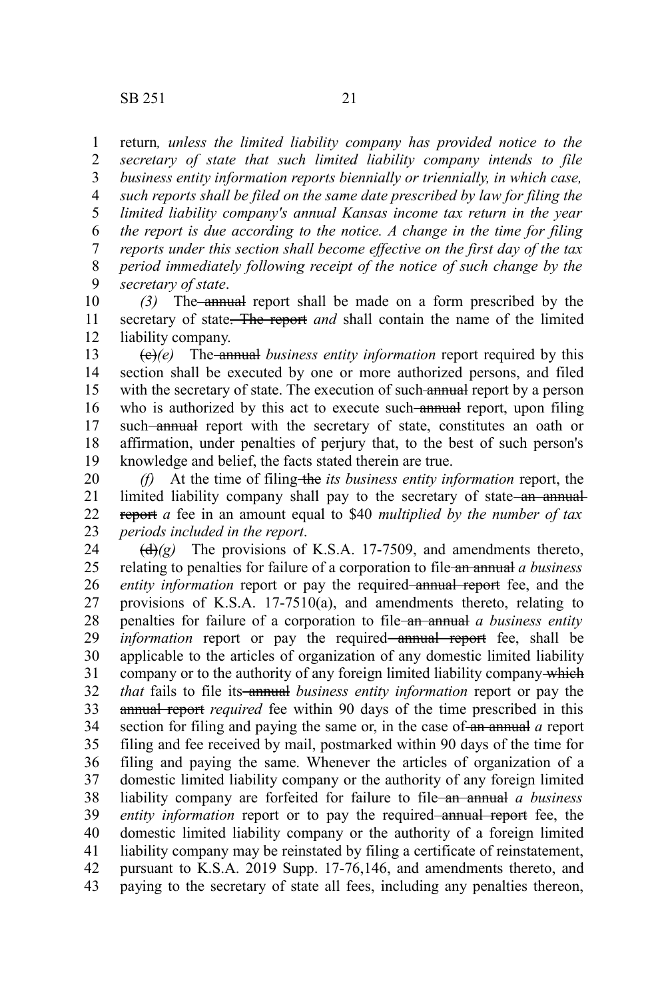return*, unless the limited liability company has provided notice to the secretary of state that such limited liability company intends to file business entity information reports biennially or triennially, in which case, such reports shall be filed on the same date prescribed by law for filing the limited liability company's annual Kansas income tax return in the year the report is due according to the notice. A change in the time for filing reports under this section shall become effective on the first day of the tax period immediately following receipt of the notice of such change by the secretary of state*. 1 2 3 4 5 6 7 8 9

*(3)* The annual report shall be made on a form prescribed by the secretary of state. The report *and* shall contain the name of the limited liability company. 10 11 12

(c)*(e)* The annual *business entity information* report required by this section shall be executed by one or more authorized persons, and filed with the secretary of state. The execution of such annual report by a person who is authorized by this act to execute such annual report, upon filing such-annual report with the secretary of state, constitutes an oath or affirmation, under penalties of perjury that, to the best of such person's knowledge and belief, the facts stated therein are true. 13 14 15 16 17 18 19

*(f)* At the time of filing-the *its business entity information* report, the limited liability company shall pay to the secretary of state an annualreport *a* fee in an amount equal to \$40 *multiplied by the number of tax periods included in the report*. 20 21 22 23

 $\left(\frac{d}{dx}\right)(g)$  The provisions of K.S.A. 17-7509, and amendments thereto, relating to penalties for failure of a corporation to file an annual *a business entity information* report or pay the required annual report fee, and the provisions of K.S.A. 17-7510(a), and amendments thereto, relating to penalties for failure of a corporation to file an annual *a business entity information* report or pay the required—annual report fee, shall be applicable to the articles of organization of any domestic limited liability company or to the authority of any foreign limited liability company which *that* fails to file its annual *business entity information* report or pay the annual report *required* fee within 90 days of the time prescribed in this section for filing and paying the same or, in the case of an annual *a* report filing and fee received by mail, postmarked within 90 days of the time for filing and paying the same. Whenever the articles of organization of a domestic limited liability company or the authority of any foreign limited liability company are forfeited for failure to file an annual *a business* entity information report or to pay the required-annual report fee, the domestic limited liability company or the authority of a foreign limited liability company may be reinstated by filing a certificate of reinstatement, pursuant to K.S.A. 2019 Supp. 17-76,146, and amendments thereto, and paying to the secretary of state all fees, including any penalties thereon, 24 25 26 27 28 29 30 31 32 33 34 35 36 37 38 39 40 41 42 43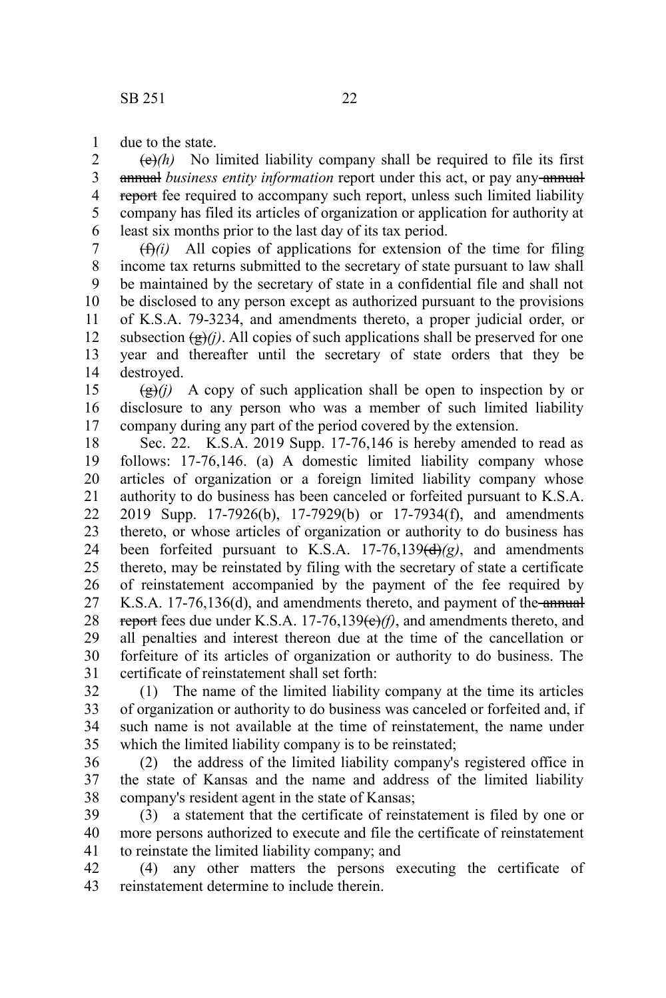due to the state. 1

 $\left(\frac{e}{e}\right)$  No limited liability company shall be required to file its first annual *business entity information* report under this act, or pay any annual report fee required to accompany such report, unless such limited liability company has filed its articles of organization or application for authority at least six months prior to the last day of its tax period. 2 3 4 5 6

 $(f(x))$  All copies of applications for extension of the time for filing income tax returns submitted to the secretary of state pursuant to law shall be maintained by the secretary of state in a confidential file and shall not be disclosed to any person except as authorized pursuant to the provisions of K.S.A. 79-3234, and amendments thereto, a proper judicial order, or subsection  $(g)(j)$ . All copies of such applications shall be preserved for one year and thereafter until the secretary of state orders that they be destroyed. 7 8 9 10 11 12 13 14

 $\left(\frac{g}{g}\right)(i)$  A copy of such application shall be open to inspection by or disclosure to any person who was a member of such limited liability company during any part of the period covered by the extension. 15 16 17

Sec. 22. K.S.A. 2019 Supp. 17-76,146 is hereby amended to read as follows: 17-76,146. (a) A domestic limited liability company whose articles of organization or a foreign limited liability company whose authority to do business has been canceled or forfeited pursuant to K.S.A. 2019 Supp. 17-7926(b), 17-7929(b) or 17-7934(f), and amendments thereto, or whose articles of organization or authority to do business has been forfeited pursuant to K.S.A. 17-76,139(d)*(g)*, and amendments thereto, may be reinstated by filing with the secretary of state a certificate of reinstatement accompanied by the payment of the fee required by K.S.A. 17-76,136(d), and amendments thereto, and payment of the annual report fees due under K.S.A. 17-76,139(e)*(f)*, and amendments thereto, and all penalties and interest thereon due at the time of the cancellation or forfeiture of its articles of organization or authority to do business. The certificate of reinstatement shall set forth: 18 19 20 21 22 23 24 25 26 27 28 29 30 31

(1) The name of the limited liability company at the time its articles of organization or authority to do business was canceled or forfeited and, if such name is not available at the time of reinstatement, the name under which the limited liability company is to be reinstated; 32 33 34 35

(2) the address of the limited liability company's registered office in the state of Kansas and the name and address of the limited liability company's resident agent in the state of Kansas; 36 37 38

(3) a statement that the certificate of reinstatement is filed by one or more persons authorized to execute and file the certificate of reinstatement to reinstate the limited liability company; and 39 40 41

(4) any other matters the persons executing the certificate of reinstatement determine to include therein. 42 43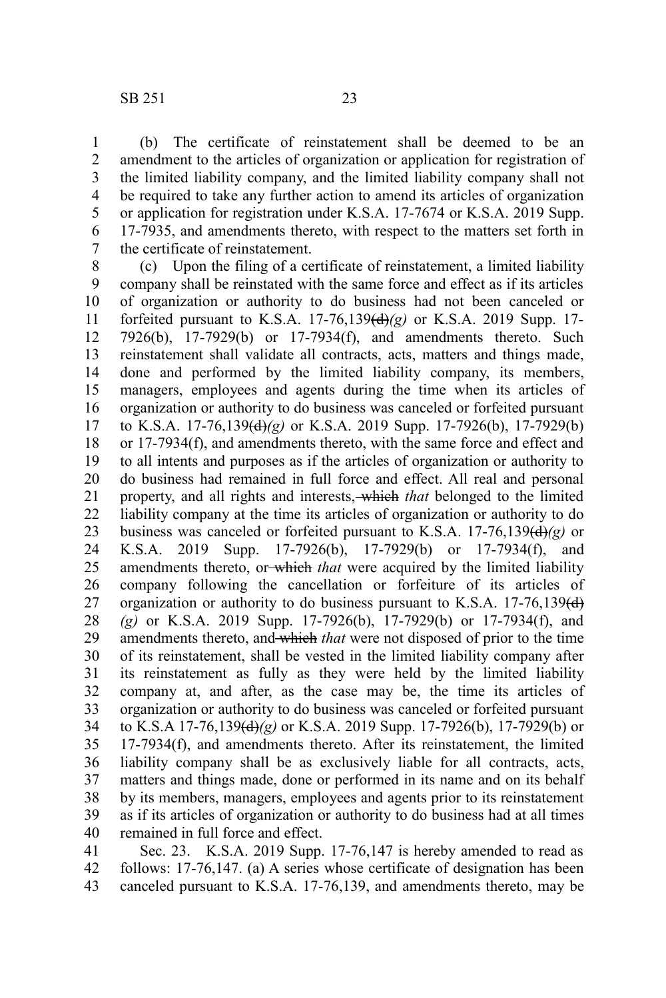(b) The certificate of reinstatement shall be deemed to be an amendment to the articles of organization or application for registration of the limited liability company, and the limited liability company shall not be required to take any further action to amend its articles of organization or application for registration under K.S.A. 17-7674 or K.S.A. 2019 Supp. 17-7935, and amendments thereto, with respect to the matters set forth in the certificate of reinstatement. 1 2 3 4 5 6 7

(c) Upon the filing of a certificate of reinstatement, a limited liability company shall be reinstated with the same force and effect as if its articles of organization or authority to do business had not been canceled or forfeited pursuant to K.S.A. 17-76,139(d)*(g)* or K.S.A. 2019 Supp. 17- 7926(b), 17-7929(b) or 17-7934(f), and amendments thereto. Such reinstatement shall validate all contracts, acts, matters and things made, done and performed by the limited liability company, its members, managers, employees and agents during the time when its articles of organization or authority to do business was canceled or forfeited pursuant to K.S.A. 17-76,139(d)*(g)* or K.S.A. 2019 Supp. 17-7926(b), 17-7929(b) or 17-7934(f), and amendments thereto, with the same force and effect and to all intents and purposes as if the articles of organization or authority to do business had remained in full force and effect. All real and personal property, and all rights and interests, which *that* belonged to the limited liability company at the time its articles of organization or authority to do business was canceled or forfeited pursuant to K.S.A. 17-76,139(d)*(g)* or K.S.A. 2019 Supp. 17-7926(b), 17-7929(b) or 17-7934(f), and amendments thereto, or which *that* were acquired by the limited liability company following the cancellation or forfeiture of its articles of organization or authority to do business pursuant to K.S.A.  $17-76,139\text{(d)}$ *(g)* or K.S.A. 2019 Supp. 17-7926(b), 17-7929(b) or 17-7934(f), and amendments thereto, and which *that* were not disposed of prior to the time of its reinstatement, shall be vested in the limited liability company after its reinstatement as fully as they were held by the limited liability company at, and after, as the case may be, the time its articles of organization or authority to do business was canceled or forfeited pursuant to K.S.A 17-76,139(d)*(g)* or K.S.A. 2019 Supp. 17-7926(b), 17-7929(b) or 17-7934(f), and amendments thereto. After its reinstatement, the limited liability company shall be as exclusively liable for all contracts, acts, matters and things made, done or performed in its name and on its behalf by its members, managers, employees and agents prior to its reinstatement as if its articles of organization or authority to do business had at all times remained in full force and effect. 8 9 10 11 12 13 14 15 16 17 18 19 20 21 22 23 24 25 26 27 28 29 30 31 32 33 34 35 36 37 38 39 40

Sec. 23. K.S.A. 2019 Supp. 17-76,147 is hereby amended to read as follows: 17-76,147. (a) A series whose certificate of designation has been canceled pursuant to K.S.A. 17-76,139, and amendments thereto, may be 41 42 43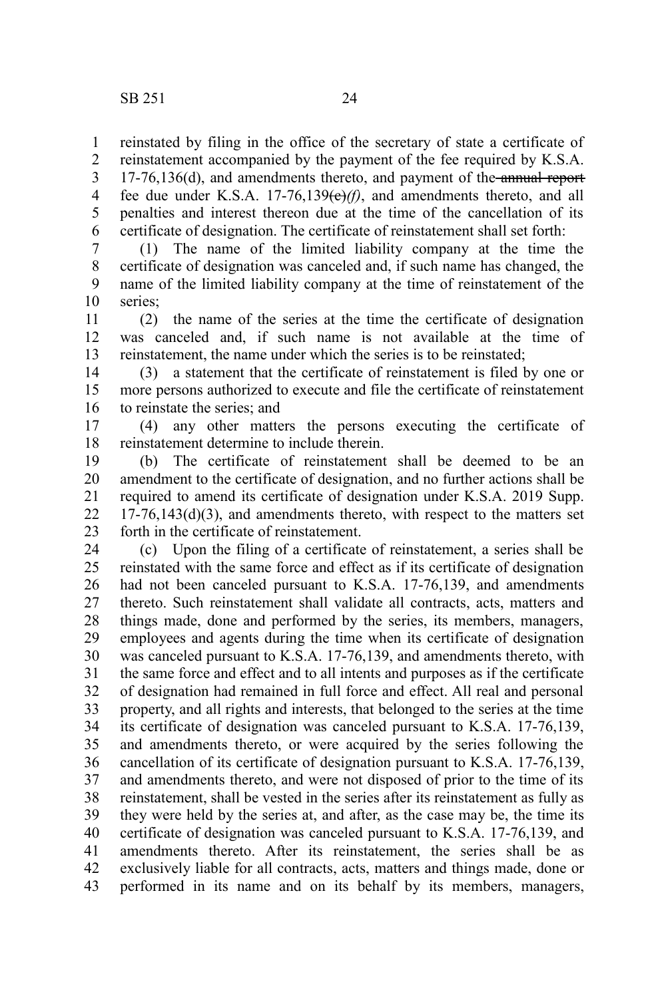reinstated by filing in the office of the secretary of state a certificate of reinstatement accompanied by the payment of the fee required by K.S.A. 17-76,136(d), and amendments thereto, and payment of the annual report fee due under K.S.A.  $17-76,139(e)/f$ , and amendments thereto, and all penalties and interest thereon due at the time of the cancellation of its certificate of designation. The certificate of reinstatement shall set forth: 1 2 3 4 5 6

(1) The name of the limited liability company at the time the certificate of designation was canceled and, if such name has changed, the name of the limited liability company at the time of reinstatement of the series; 7 8 9 10

(2) the name of the series at the time the certificate of designation was canceled and, if such name is not available at the time of reinstatement, the name under which the series is to be reinstated; 11 12 13

(3) a statement that the certificate of reinstatement is filed by one or more persons authorized to execute and file the certificate of reinstatement to reinstate the series; and 14 15 16

(4) any other matters the persons executing the certificate of reinstatement determine to include therein. 17 18

(b) The certificate of reinstatement shall be deemed to be an amendment to the certificate of designation, and no further actions shall be required to amend its certificate of designation under K.S.A. 2019 Supp.  $17-76,143(d)(3)$ , and amendments thereto, with respect to the matters set forth in the certificate of reinstatement. 19 20 21 22 23

(c) Upon the filing of a certificate of reinstatement, a series shall be reinstated with the same force and effect as if its certificate of designation had not been canceled pursuant to K.S.A. 17-76,139, and amendments thereto. Such reinstatement shall validate all contracts, acts, matters and things made, done and performed by the series, its members, managers, employees and agents during the time when its certificate of designation was canceled pursuant to K.S.A. 17-76,139, and amendments thereto, with the same force and effect and to all intents and purposes as if the certificate of designation had remained in full force and effect. All real and personal property, and all rights and interests, that belonged to the series at the time its certificate of designation was canceled pursuant to K.S.A. 17-76,139, and amendments thereto, or were acquired by the series following the cancellation of its certificate of designation pursuant to K.S.A. 17-76,139, and amendments thereto, and were not disposed of prior to the time of its reinstatement, shall be vested in the series after its reinstatement as fully as they were held by the series at, and after, as the case may be, the time its certificate of designation was canceled pursuant to K.S.A. 17-76,139, and amendments thereto. After its reinstatement, the series shall be as exclusively liable for all contracts, acts, matters and things made, done or performed in its name and on its behalf by its members, managers, 24 25 26 27 28 29 30 31 32 33 34 35 36 37 38 39 40 41 42 43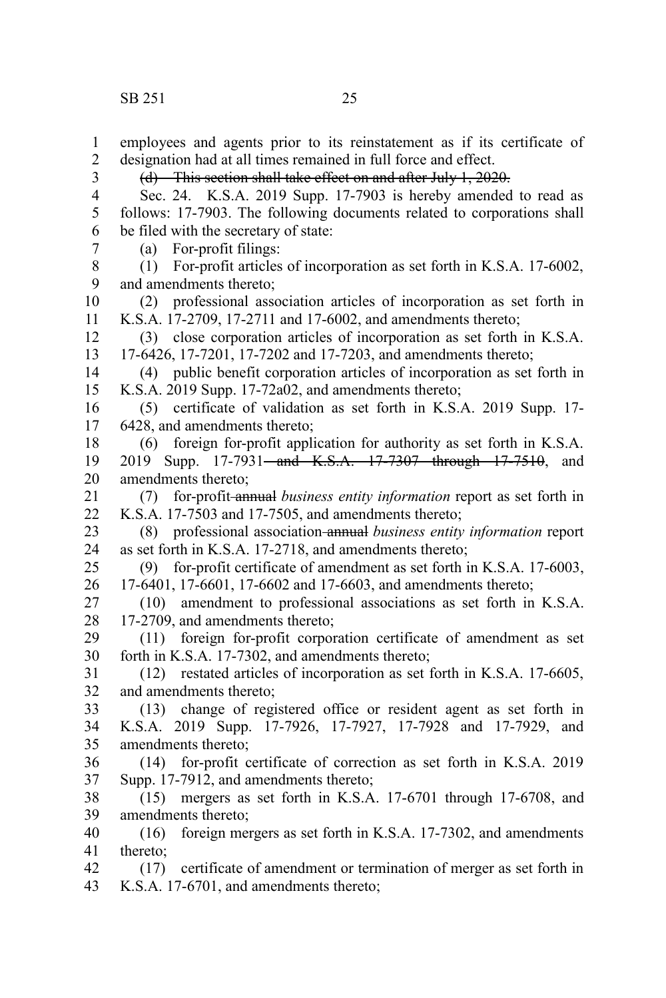employees and agents prior to its reinstatement as if its certificate of designation had at all times remained in full force and effect. (d) This section shall take effect on and after July 1, 2020. Sec. 24. K.S.A. 2019 Supp. 17-7903 is hereby amended to read as follows: 17-7903. The following documents related to corporations shall be filed with the secretary of state: (a) For-profit filings: (1) For-profit articles of incorporation as set forth in K.S.A. 17-6002, and amendments thereto; (2) professional association articles of incorporation as set forth in K.S.A. 17-2709, 17-2711 and 17-6002, and amendments thereto; (3) close corporation articles of incorporation as set forth in K.S.A. 17-6426, 17-7201, 17-7202 and 17-7203, and amendments thereto; (4) public benefit corporation articles of incorporation as set forth in K.S.A. 2019 Supp. 17-72a02, and amendments thereto; (5) certificate of validation as set forth in K.S.A. 2019 Supp. 17- 6428, and amendments thereto; (6) foreign for-profit application for authority as set forth in K.S.A. 2019 Supp. 17-7931—and K.S.A. 17-7307 through 17-7510, and amendments thereto; (7) for-profit annual *business entity information* report as set forth in K.S.A. 17-7503 and 17-7505, and amendments thereto; (8) professional association annual *business entity information* report as set forth in K.S.A. 17-2718, and amendments thereto; (9) for-profit certificate of amendment as set forth in K.S.A. 17-6003, 17-6401, 17-6601, 17-6602 and 17-6603, and amendments thereto; (10) amendment to professional associations as set forth in K.S.A. 17-2709, and amendments thereto; (11) foreign for-profit corporation certificate of amendment as set forth in K.S.A. 17-7302, and amendments thereto; (12) restated articles of incorporation as set forth in K.S.A. 17-6605, and amendments thereto; (13) change of registered office or resident agent as set forth in K.S.A. 2019 Supp. 17-7926, 17-7927, 17-7928 and 17-7929, and amendments thereto; (14) for-profit certificate of correction as set forth in K.S.A. 2019 Supp. 17-7912, and amendments thereto; (15) mergers as set forth in K.S.A. 17-6701 through 17-6708, and amendments thereto; (16) foreign mergers as set forth in K.S.A. 17-7302, and amendments thereto; (17) certificate of amendment or termination of merger as set forth in K.S.A. 17-6701, and amendments thereto; 1 2 3 4 5 6 7 8 9 10 11 12 13 14 15 16 17 18 19 20 21 22 23 24 25 26 27 28 29 30 31 32 33 34 35 36 37 38 39 40 41 42 43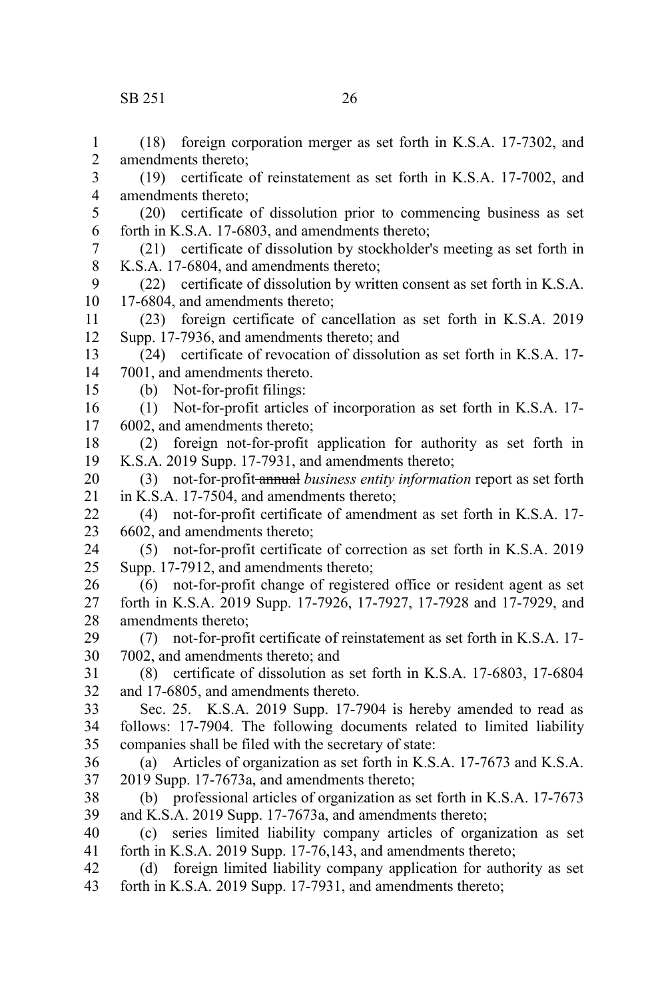### SB 251 26

(18) foreign corporation merger as set forth in K.S.A. 17-7302, and amendments thereto; (19) certificate of reinstatement as set forth in K.S.A. 17-7002, and amendments thereto; (20) certificate of dissolution prior to commencing business as set forth in K.S.A. 17-6803, and amendments thereto; (21) certificate of dissolution by stockholder's meeting as set forth in K.S.A. 17-6804, and amendments thereto; (22) certificate of dissolution by written consent as set forth in K.S.A. 17-6804, and amendments thereto; (23) foreign certificate of cancellation as set forth in K.S.A. 2019 Supp. 17-7936, and amendments thereto; and (24) certificate of revocation of dissolution as set forth in K.S.A. 17- 7001, and amendments thereto. (b) Not-for-profit filings: (1) Not-for-profit articles of incorporation as set forth in K.S.A. 17- 6002, and amendments thereto; (2) foreign not-for-profit application for authority as set forth in K.S.A. 2019 Supp. 17-7931, and amendments thereto; (3) not-for-profit annual *business entity information* report as set forth in K.S.A. 17-7504, and amendments thereto; (4) not-for-profit certificate of amendment as set forth in K.S.A. 17- 6602, and amendments thereto; (5) not-for-profit certificate of correction as set forth in K.S.A. 2019 Supp. 17-7912, and amendments thereto; (6) not-for-profit change of registered office or resident agent as set forth in K.S.A. 2019 Supp. 17-7926, 17-7927, 17-7928 and 17-7929, and amendments thereto; (7) not-for-profit certificate of reinstatement as set forth in K.S.A. 17- 7002, and amendments thereto; and (8) certificate of dissolution as set forth in K.S.A. 17-6803, 17-6804 and 17-6805, and amendments thereto. Sec. 25. K.S.A. 2019 Supp. 17-7904 is hereby amended to read as follows: 17-7904. The following documents related to limited liability companies shall be filed with the secretary of state: (a) Articles of organization as set forth in K.S.A. 17-7673 and K.S.A. 2019 Supp. 17-7673a, and amendments thereto; (b) professional articles of organization as set forth in K.S.A. 17-7673 and K.S.A. 2019 Supp. 17-7673a, and amendments thereto; (c) series limited liability company articles of organization as set forth in K.S.A. 2019 Supp. 17-76,143, and amendments thereto; (d) foreign limited liability company application for authority as set forth in K.S.A. 2019 Supp. 17-7931, and amendments thereto; 1 2 3 4 5 6 7 8 9 10 11 12 13 14 15 16 17 18 19 20 21 22 23 24 25 26 27 28 29 30 31 32 33 34 35 36 37 38 39 40 41 42 43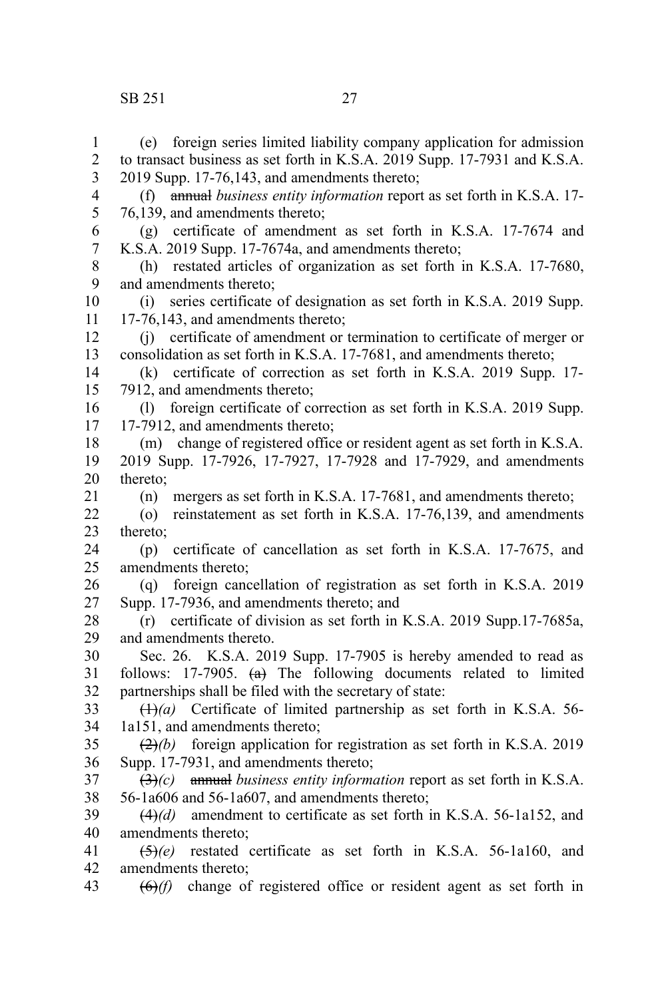### SB 251 27

(e) foreign series limited liability company application for admission to transact business as set forth in K.S.A. 2019 Supp. 17-7931 and K.S.A. 2019 Supp. 17-76,143, and amendments thereto;

5 6

(f) annual *business entity information* report as set forth in K.S.A. 17- 76,139, and amendments thereto;

(g) certificate of amendment as set forth in K.S.A. 17-7674 and K.S.A. 2019 Supp. 17-7674a, and amendments thereto; 7

(h) restated articles of organization as set forth in K.S.A. 17-7680, and amendments thereto; 8 9

(i) series certificate of designation as set forth in K.S.A. 2019 Supp. 17-76,143, and amendments thereto; 10 11

(j) certificate of amendment or termination to certificate of merger or consolidation as set forth in K.S.A. 17-7681, and amendments thereto; 12 13

(k) certificate of correction as set forth in K.S.A. 2019 Supp. 17- 7912, and amendments thereto; 14 15

(l) foreign certificate of correction as set forth in K.S.A. 2019 Supp. 17-7912, and amendments thereto; 16 17

(m) change of registered office or resident agent as set forth in K.S.A. 2019 Supp. 17-7926, 17-7927, 17-7928 and 17-7929, and amendments thereto; 18 19 20

(n) mergers as set forth in K.S.A. 17-7681, and amendments thereto; 21

(o) reinstatement as set forth in K.S.A. 17-76,139, and amendments thereto; 22 23

(p) certificate of cancellation as set forth in K.S.A. 17-7675, and amendments thereto; 24 25

(q) foreign cancellation of registration as set forth in K.S.A. 2019 Supp. 17-7936, and amendments thereto; and 26 27

(r) certificate of division as set forth in K.S.A. 2019 Supp.17-7685a, and amendments thereto. 28 29

Sec. 26. K.S.A. 2019 Supp. 17-7905 is hereby amended to read as follows:  $17-7905$ .  $\leftrightarrow$  The following documents related to limited partnerships shall be filed with the secretary of state: 30 31 32

(1)*(a)* Certificate of limited partnership as set forth in K.S.A. 56- 1a151, and amendments thereto; 33 34

(2)*(b)* foreign application for registration as set forth in K.S.A. 2019 Supp. 17-7931, and amendments thereto; 35 36

(3)*(c)* annual *business entity information* report as set forth in K.S.A. 56-1a606 and 56-1a607, and amendments thereto; 37 38

(4)*(d)* amendment to certificate as set forth in K.S.A. 56-1a152, and amendments thereto; 39 40

(5)*(e)* restated certificate as set forth in K.S.A. 56-1a160, and amendments thereto; 41 42

(6)*(f)* change of registered office or resident agent as set forth in 43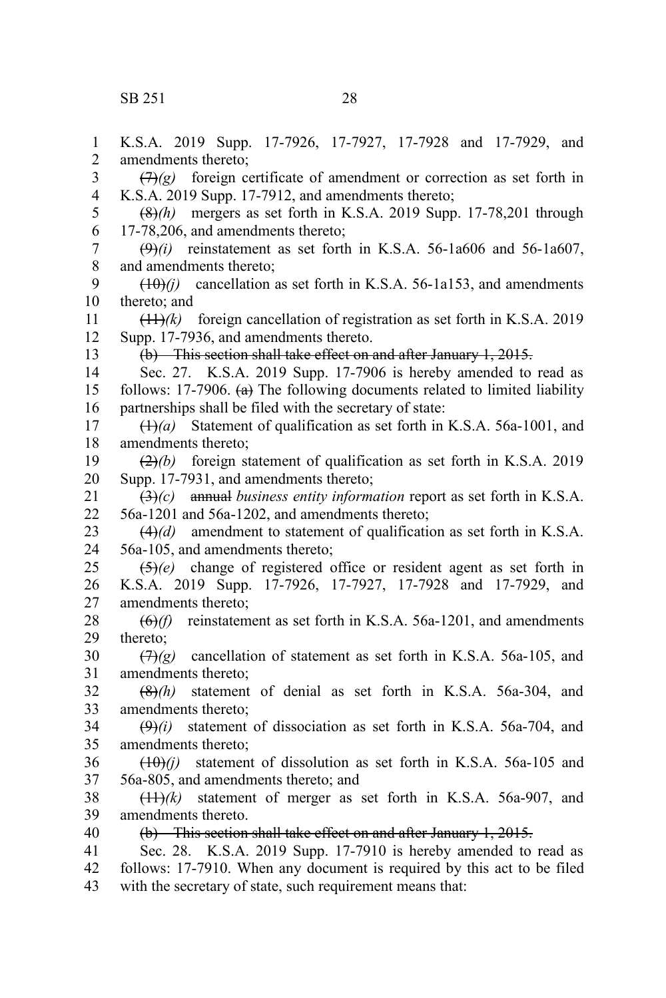K.S.A. 2019 Supp. 17-7926, 17-7927, 17-7928 and 17-7929, and amendments thereto;  $(7)$ (g) foreign certificate of amendment or correction as set forth in K.S.A. 2019 Supp. 17-7912, and amendments thereto; (8)*(h)* mergers as set forth in K.S.A. 2019 Supp. 17-78,201 through 17-78,206, and amendments thereto;  $(9)$ (i) reinstatement as set forth in K.S.A. 56-1a606 and 56-1a607, and amendments thereto;  $(10)(i)$  cancellation as set forth in K.S.A. 56-1a153, and amendments thereto; and  $(11)$ *(k)* foreign cancellation of registration as set forth in K.S.A. 2019 Supp. 17-7936, and amendments thereto. (b) This section shall take effect on and after January 1, 2015. Sec. 27. K.S.A. 2019 Supp. 17-7906 is hereby amended to read as follows: 17-7906.  $(a)$  The following documents related to limited liability partnerships shall be filed with the secretary of state: (1)*(a)* Statement of qualification as set forth in K.S.A. 56a-1001, and amendments thereto; (2)*(b)* foreign statement of qualification as set forth in K.S.A. 2019 Supp. 17-7931, and amendments thereto; (3)*(c)* annual *business entity information* report as set forth in K.S.A. 56a-1201 and 56a-1202, and amendments thereto; (4)*(d)* amendment to statement of qualification as set forth in K.S.A. 56a-105, and amendments thereto; (5)*(e)* change of registered office or resident agent as set forth in K.S.A. 2019 Supp. 17-7926, 17-7927, 17-7928 and 17-7929, and amendments thereto; (6)*(f)* reinstatement as set forth in K.S.A. 56a-1201, and amendments thereto;  $(\frac{7}{2})$  cancellation of statement as set forth in K.S.A. 56a-105, and amendments thereto; (8)*(h)* statement of denial as set forth in K.S.A. 56a-304, and amendments thereto; (9)*(i)* statement of dissociation as set forth in K.S.A. 56a-704, and amendments thereto;  $(10)(i)$  statement of dissolution as set forth in K.S.A. 56a-105 and 56a-805, and amendments thereto; and  $(11)$ /k) statement of merger as set forth in K.S.A. 56a-907, and amendments thereto. (b) This section shall take effect on and after January 1, 2015. Sec. 28. K.S.A. 2019 Supp. 17-7910 is hereby amended to read as follows: 17-7910. When any document is required by this act to be filed with the secretary of state, such requirement means that: 1 2 3 4 5 6 7 8 9 10 11 12 13 14 15 16 17 18 19 20 21 22 23 24 25 26 27 28 29 30 31 32 33 34 35 36 37 38 39 40 41 42 43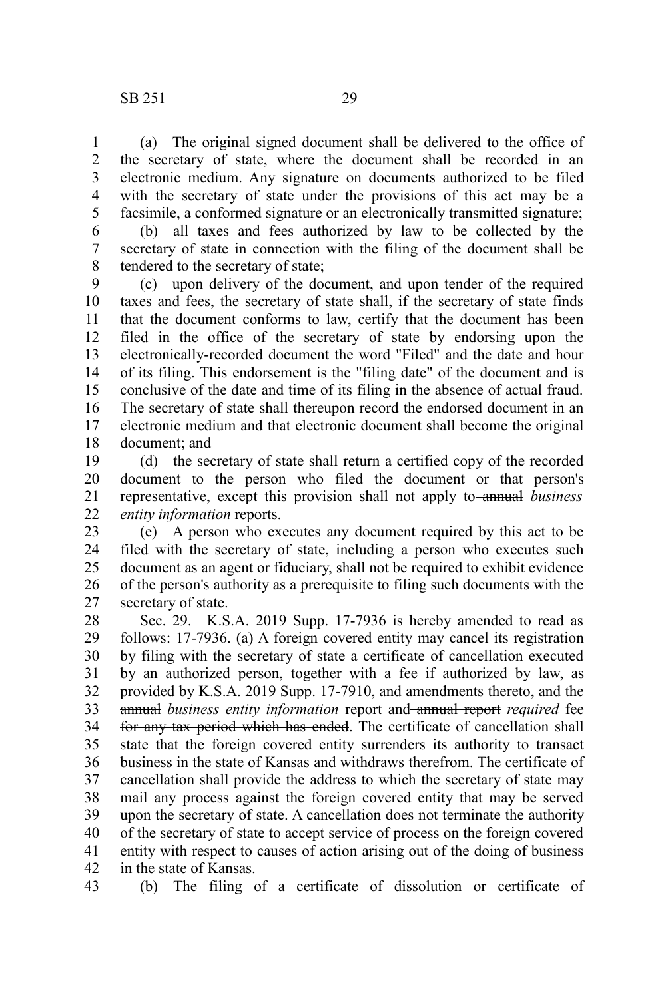1

5

(a) The original signed document shall be delivered to the office of the secretary of state, where the document shall be recorded in an electronic medium. Any signature on documents authorized to be filed with the secretary of state under the provisions of this act may be a facsimile, a conformed signature or an electronically transmitted signature; 2 3 4

(b) all taxes and fees authorized by law to be collected by the secretary of state in connection with the filing of the document shall be tendered to the secretary of state; 6 7 8

(c) upon delivery of the document, and upon tender of the required taxes and fees, the secretary of state shall, if the secretary of state finds that the document conforms to law, certify that the document has been filed in the office of the secretary of state by endorsing upon the electronically-recorded document the word "Filed" and the date and hour of its filing. This endorsement is the "filing date" of the document and is conclusive of the date and time of its filing in the absence of actual fraud. The secretary of state shall thereupon record the endorsed document in an electronic medium and that electronic document shall become the original document; and 9 10 11 12 13 14 15 16 17 18

(d) the secretary of state shall return a certified copy of the recorded document to the person who filed the document or that person's representative, except this provision shall not apply to-annual *business entity information* reports. 19 20 21 22

(e) A person who executes any document required by this act to be filed with the secretary of state, including a person who executes such document as an agent or fiduciary, shall not be required to exhibit evidence of the person's authority as a prerequisite to filing such documents with the secretary of state. 23 24 25 26 27

Sec. 29. K.S.A. 2019 Supp. 17-7936 is hereby amended to read as follows: 17-7936. (a) A foreign covered entity may cancel its registration by filing with the secretary of state a certificate of cancellation executed by an authorized person, together with a fee if authorized by law, as provided by K.S.A. 2019 Supp. 17-7910, and amendments thereto, and the annual *business entity information* report and annual report *required* fee for any tax period which has ended. The certificate of cancellation shall state that the foreign covered entity surrenders its authority to transact business in the state of Kansas and withdraws therefrom. The certificate of cancellation shall provide the address to which the secretary of state may mail any process against the foreign covered entity that may be served upon the secretary of state. A cancellation does not terminate the authority of the secretary of state to accept service of process on the foreign covered entity with respect to causes of action arising out of the doing of business in the state of Kansas. 28 29 30 31 32 33 34 35 36 37 38 39 40 41 42

(b) The filing of a certificate of dissolution or certificate of 43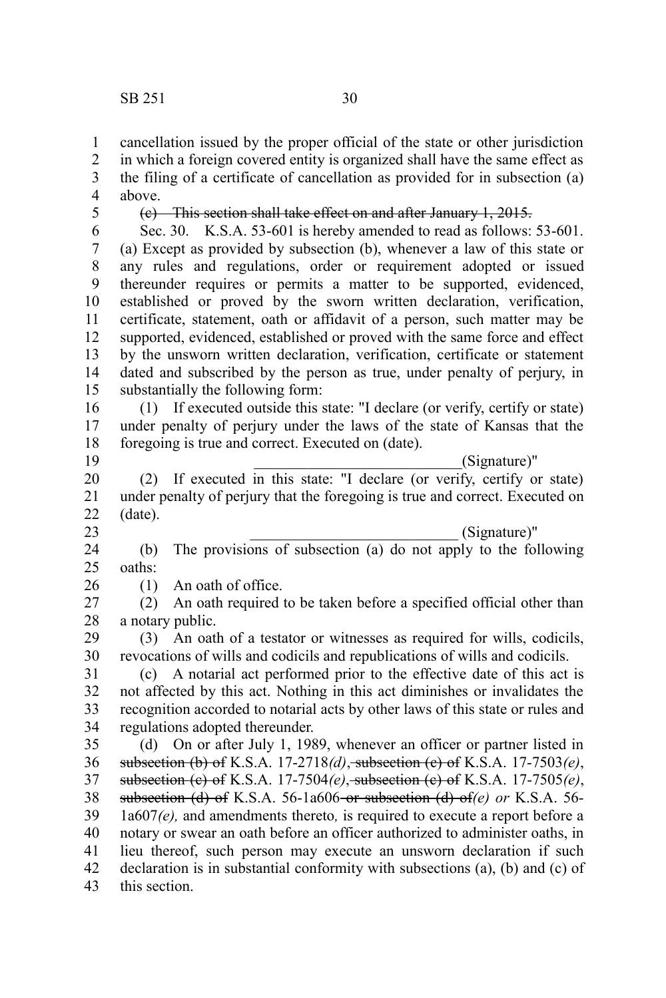cancellation issued by the proper official of the state or other jurisdiction 1

in which a foreign covered entity is organized shall have the same effect as the filing of a certificate of cancellation as provided for in subsection (a) above. 2 3 4

5

(c) This section shall take effect on and after January 1, 2015.

Sec. 30. K.S.A. 53-601 is hereby amended to read as follows: 53-601. (a) Except as provided by subsection (b), whenever a law of this state or any rules and regulations, order or requirement adopted or issued thereunder requires or permits a matter to be supported, evidenced, established or proved by the sworn written declaration, verification, certificate, statement, oath or affidavit of a person, such matter may be supported, evidenced, established or proved with the same force and effect by the unsworn written declaration, verification, certificate or statement dated and subscribed by the person as true, under penalty of perjury, in substantially the following form: 6 7 8 9 10 11 12 13 14 15

(1) If executed outside this state: "I declare (or verify, certify or state) under penalty of perjury under the laws of the state of Kansas that the foregoing is true and correct. Executed on (date). 16 17 18

19

\_\_\_\_\_\_\_\_\_\_\_\_\_\_\_\_\_\_\_\_\_\_\_\_\_\_\_(Signature)"

(2) If executed in this state: "I declare (or verify, certify or state) under penalty of perjury that the foregoing is true and correct. Executed on (date). \_\_\_\_\_\_\_\_\_\_\_\_\_\_\_\_\_\_\_\_\_\_\_\_\_\_\_ (Signature)" 20 21 22 23

(b) The provisions of subsection (a) do not apply to the following oaths: 24 25

(1) An oath of office. 26

(2) An oath required to be taken before a specified official other than a notary public. 27 28

(3) An oath of a testator or witnesses as required for wills, codicils, revocations of wills and codicils and republications of wills and codicils. 29 30

(c) A notarial act performed prior to the effective date of this act is not affected by this act. Nothing in this act diminishes or invalidates the recognition accorded to notarial acts by other laws of this state or rules and regulations adopted thereunder. 31 32 33 34

(d) On or after July 1, 1989, whenever an officer or partner listed in subsection (b) of K.S.A. 17-2718*(d)*, subsection (c) of K.S.A. 17-7503*(e)*, subsection (c) of K.S.A. 17-7504*(e)*, subsection (c) of K.S.A. 17-7505*(e)*, subsection (d) of K.S.A. 56-1a606 or subsection (d) of*(e) or* K.S.A. 56- 1a607*(e),* and amendments thereto*,* is required to execute a report before a notary or swear an oath before an officer authorized to administer oaths, in lieu thereof, such person may execute an unsworn declaration if such declaration is in substantial conformity with subsections (a), (b) and (c) of this section. 35 36 37 38 39 40 41 42 43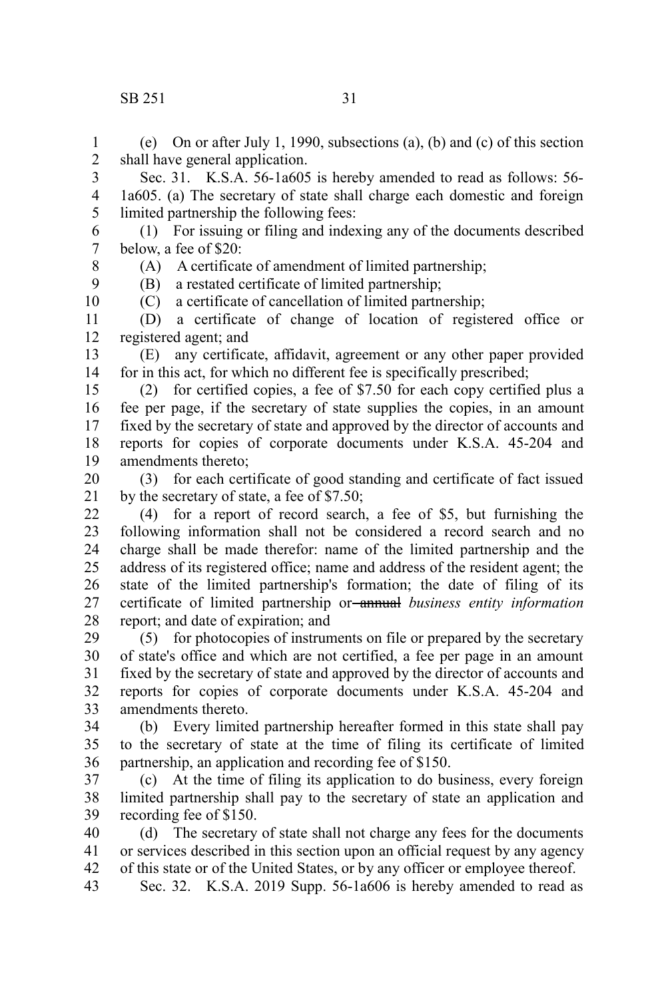## $SB$  251 31

(e) On or after July 1, 1990, subsections (a), (b) and (c) of this section shall have general application. 1 2

Sec. 31. K.S.A. 56-1a605 is hereby amended to read as follows: 56- 1a605. (a) The secretary of state shall charge each domestic and foreign limited partnership the following fees: 3 4 5

(1) For issuing or filing and indexing any of the documents described below, a fee of \$20: (A) A certificate of amendment of limited partnership; 6 7

8

9 10 (B) a restated certificate of limited partnership;

(C) a certificate of cancellation of limited partnership;

(D) a certificate of change of location of registered office or registered agent; and 11 12

(E) any certificate, affidavit, agreement or any other paper provided for in this act, for which no different fee is specifically prescribed; 13 14

(2) for certified copies, a fee of \$7.50 for each copy certified plus a fee per page, if the secretary of state supplies the copies, in an amount fixed by the secretary of state and approved by the director of accounts and reports for copies of corporate documents under K.S.A. 45-204 and amendments thereto; 15 16 17 18 19

(3) for each certificate of good standing and certificate of fact issued by the secretary of state, a fee of \$7.50; 20 21

(4) for a report of record search, a fee of \$5, but furnishing the following information shall not be considered a record search and no charge shall be made therefor: name of the limited partnership and the address of its registered office; name and address of the resident agent; the state of the limited partnership's formation; the date of filing of its certificate of limited partnership or annual *business entity information* report; and date of expiration; and 22 23 24 25 26 27 28

(5) for photocopies of instruments on file or prepared by the secretary of state's office and which are not certified, a fee per page in an amount fixed by the secretary of state and approved by the director of accounts and reports for copies of corporate documents under K.S.A. 45-204 and amendments thereto. 29 30 31 32 33

(b) Every limited partnership hereafter formed in this state shall pay to the secretary of state at the time of filing its certificate of limited partnership, an application and recording fee of \$150. 34 35 36

(c) At the time of filing its application to do business, every foreign limited partnership shall pay to the secretary of state an application and recording fee of \$150. 37 38 39

(d) The secretary of state shall not charge any fees for the documents or services described in this section upon an official request by any agency of this state or of the United States, or by any officer or employee thereof. 40 41 42

Sec. 32. K.S.A. 2019 Supp. 56-1a606 is hereby amended to read as 43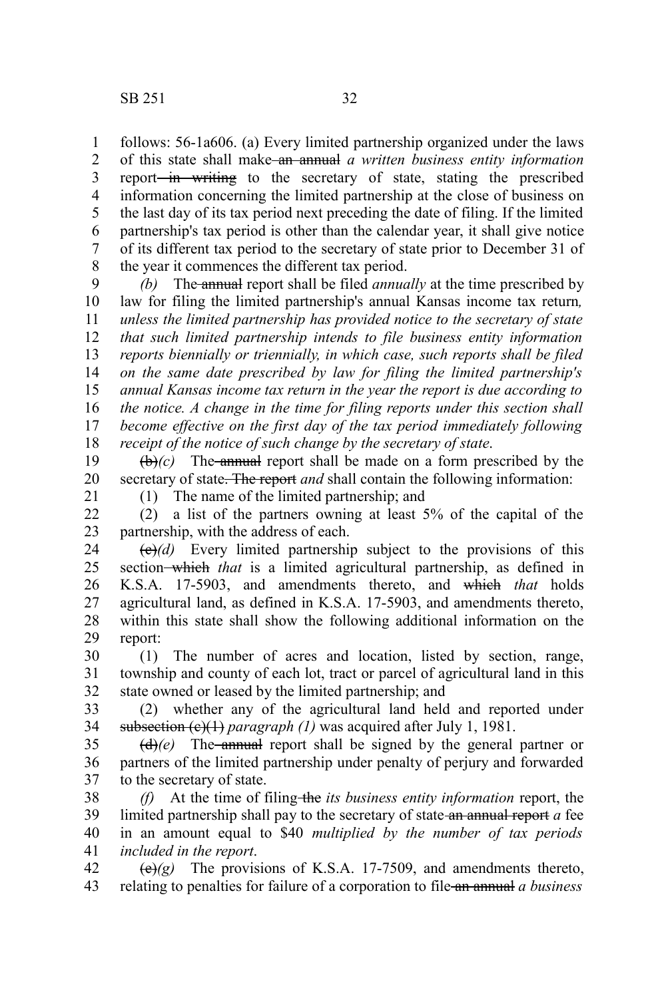follows: 56-1a606. (a) Every limited partnership organized under the laws of this state shall make an annual *a written business entity information* report<del> in writing</del> to the secretary of state, stating the prescribed information concerning the limited partnership at the close of business on the last day of its tax period next preceding the date of filing. If the limited partnership's tax period is other than the calendar year, it shall give notice of its different tax period to the secretary of state prior to December 31 of the year it commences the different tax period. 1 2 3 4 5 6 7 8

*(b)* The annual report shall be filed *annually* at the time prescribed by law for filing the limited partnership's annual Kansas income tax return*, unless the limited partnership has provided notice to the secretary of state that such limited partnership intends to file business entity information reports biennially or triennially, in which case, such reports shall be filed on the same date prescribed by law for filing the limited partnership's annual Kansas income tax return in the year the report is due according to the notice. A change in the time for filing reports under this section shall become effective on the first day of the tax period immediately following receipt of the notice of such change by the secretary of state*. 9 10 11 12 13 14 15 16 17 18

 $(\theta)$ *(c)* The annual report shall be made on a form prescribed by the secretary of state. The report *and* shall contain the following information: 19 20

21

(1) The name of the limited partnership; and

(2) a list of the partners owning at least 5% of the capital of the partnership, with the address of each. 22 23

 $\left(\frac{e}{e}\right)$  Every limited partnership subject to the provisions of this section–which *that* is a limited agricultural partnership, as defined in K.S.A. 17-5903, and amendments thereto, and which *that* holds agricultural land, as defined in K.S.A. 17-5903, and amendments thereto, within this state shall show the following additional information on the report: 24 25 26 27 28 29

(1) The number of acres and location, listed by section, range, township and county of each lot, tract or parcel of agricultural land in this state owned or leased by the limited partnership; and 30 31 32

(2) whether any of the agricultural land held and reported under subsection (e)(1) *paragraph (1)* was acquired after July 1, 1981. 33 34

 $(d)$ (e) The annual report shall be signed by the general partner or partners of the limited partnership under penalty of perjury and forwarded to the secretary of state. 35 36 37

*(f)* At the time of filing-the *its business entity information* report, the limited partnership shall pay to the secretary of state an annual report *a* fee in an amount equal to \$40 *multiplied by the number of tax periods included in the report*. 38 39 40 41

 $(e)(g)$  The provisions of K.S.A. 17-7509, and amendments thereto, relating to penalties for failure of a corporation to file an annual *a business* 42 43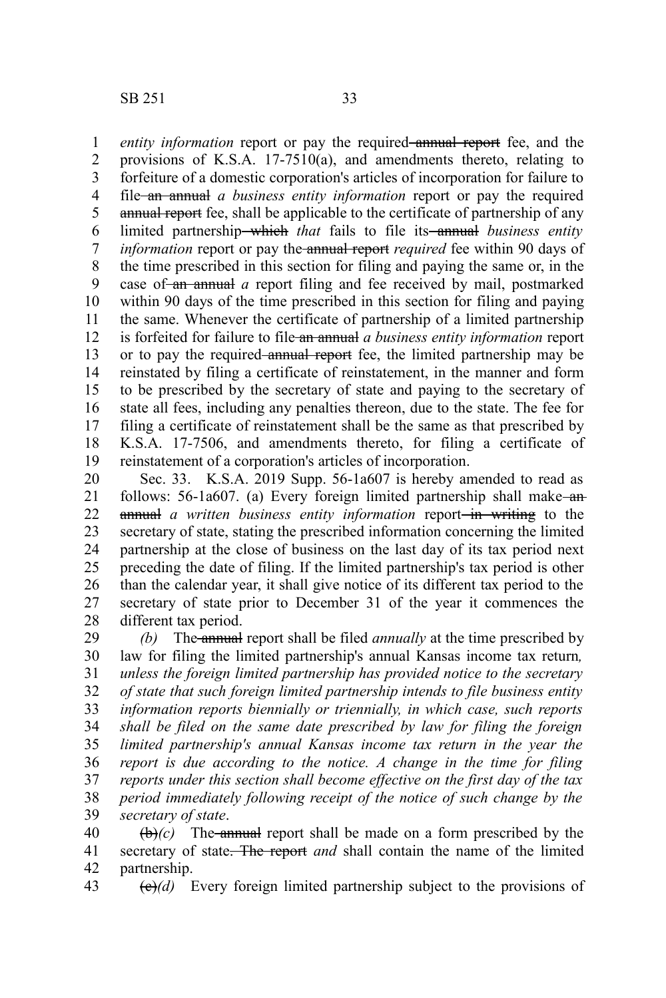*entity information* report or pay the required annual report fee, and the provisions of K.S.A. 17-7510(a), and amendments thereto, relating to forfeiture of a domestic corporation's articles of incorporation for failure to file an annual *a business entity information* report or pay the required annual report fee, shall be applicable to the certificate of partnership of any limited partnership—which *that* fails to file its—annual *business entity information* report or pay the annual report *required* fee within 90 days of the time prescribed in this section for filing and paying the same or, in the case of-an annual *a* report filing and fee received by mail, postmarked within 90 days of the time prescribed in this section for filing and paying the same. Whenever the certificate of partnership of a limited partnership is forfeited for failure to file an annual *a business entity information* report or to pay the required annual report fee, the limited partnership may be reinstated by filing a certificate of reinstatement, in the manner and form to be prescribed by the secretary of state and paying to the secretary of state all fees, including any penalties thereon, due to the state. The fee for filing a certificate of reinstatement shall be the same as that prescribed by K.S.A. 17-7506, and amendments thereto, for filing a certificate of reinstatement of a corporation's articles of incorporation. 1 2 3 4 5 6 7 8 9 10 11 12 13 14 15 16 17 18 19

Sec. 33. K.S.A. 2019 Supp. 56-1a607 is hereby amended to read as follows: 56-1a607. (a) Every foreign limited partnership shall make-anannual *a written business entity information* report—in writing to the secretary of state, stating the prescribed information concerning the limited partnership at the close of business on the last day of its tax period next preceding the date of filing. If the limited partnership's tax period is other than the calendar year, it shall give notice of its different tax period to the secretary of state prior to December 31 of the year it commences the different tax period. 20 21 22 23 24 25 26 27 28

*(b)* The annual report shall be filed *annually* at the time prescribed by law for filing the limited partnership's annual Kansas income tax return*, unless the foreign limited partnership has provided notice to the secretary of state that such foreign limited partnership intends to file business entity information reports biennially or triennially, in which case, such reports shall be filed on the same date prescribed by law for filing the foreign limited partnership's annual Kansas income tax return in the year the report is due according to the notice. A change in the time for filing reports under this section shall become effective on the first day of the tax period immediately following receipt of the notice of such change by the secretary of state*. 29 30 31 32 33 34 35 36 37 38 39

 $(\theta)$ *(c)* The annual report shall be made on a form prescribed by the secretary of state. The report *and* shall contain the name of the limited partnership. 40 41 42

(c)*(d)* Every foreign limited partnership subject to the provisions of 43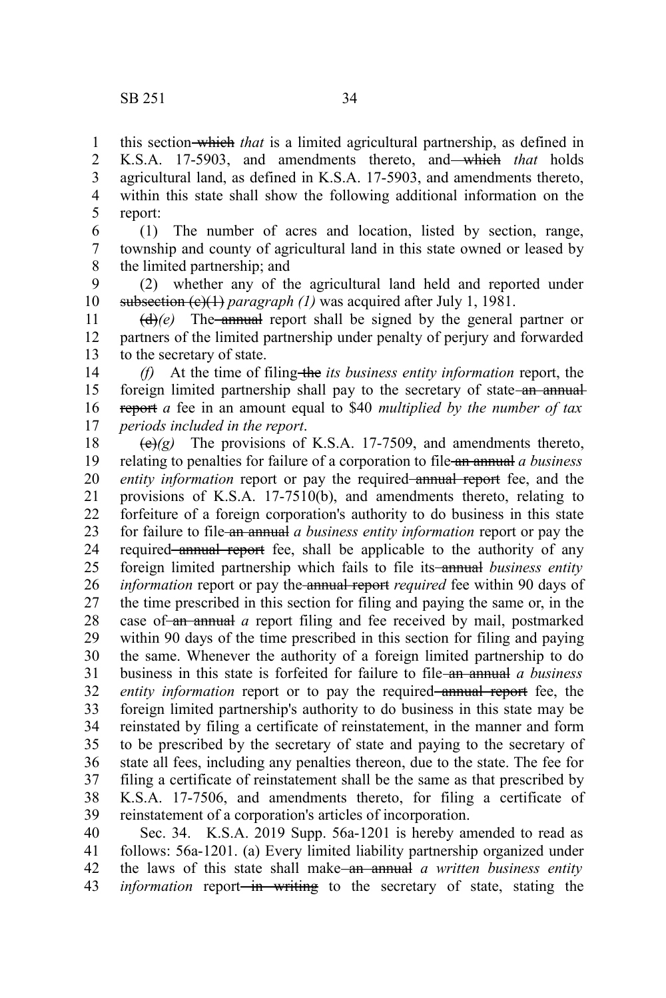this section which *that* is a limited agricultural partnership, as defined in K.S.A. 17-5903, and amendments thereto, and which *that* holds agricultural land, as defined in K.S.A. 17-5903, and amendments thereto, within this state shall show the following additional information on the report: 1 2 3 4 5

(1) The number of acres and location, listed by section, range, township and county of agricultural land in this state owned or leased by the limited partnership; and 6 7 8

(2) whether any of the agricultural land held and reported under subsection (e)(1) *paragraph (1)* was acquired after July 1, 1981. 9 10

 $(d)$ (e) The annual report shall be signed by the general partner or partners of the limited partnership under penalty of perjury and forwarded to the secretary of state. 11 12 13

*(f)* At the time of filing-the *its business entity information* report, the foreign limited partnership shall pay to the secretary of state-an annualreport *a* fee in an amount equal to \$40 *multiplied by the number of tax periods included in the report*. 14 15 16 17

 $\left(\frac{e}{e}\right)(g)$  The provisions of K.S.A. 17-7509, and amendments thereto, relating to penalties for failure of a corporation to file an annual *a business entity information* report or pay the required annual report fee, and the provisions of K.S.A. 17-7510(b), and amendments thereto, relating to forfeiture of a foreign corporation's authority to do business in this state for failure to file an annual *a business entity information* report or pay the required annual report fee, shall be applicable to the authority of any foreign limited partnership which fails to file its-annual *business entity information* report or pay the annual report *required* fee within 90 days of the time prescribed in this section for filing and paying the same or, in the case of an annual *a* report filing and fee received by mail, postmarked within 90 days of the time prescribed in this section for filing and paying the same. Whenever the authority of a foreign limited partnership to do business in this state is forfeited for failure to file an annual *a business entity information* report or to pay the required annual report fee, the foreign limited partnership's authority to do business in this state may be reinstated by filing a certificate of reinstatement, in the manner and form to be prescribed by the secretary of state and paying to the secretary of state all fees, including any penalties thereon, due to the state. The fee for filing a certificate of reinstatement shall be the same as that prescribed by K.S.A. 17-7506, and amendments thereto, for filing a certificate of reinstatement of a corporation's articles of incorporation. 18 19 20 21 22 23 24 25 26 27 28 29 30 31 32 33 34 35 36 37 38 39

Sec. 34. K.S.A. 2019 Supp. 56a-1201 is hereby amended to read as follows: 56a-1201. (a) Every limited liability partnership organized under the laws of this state shall make an annual *a written business entity information* report<del> in writing</del> to the secretary of state, stating the 40 41 42 43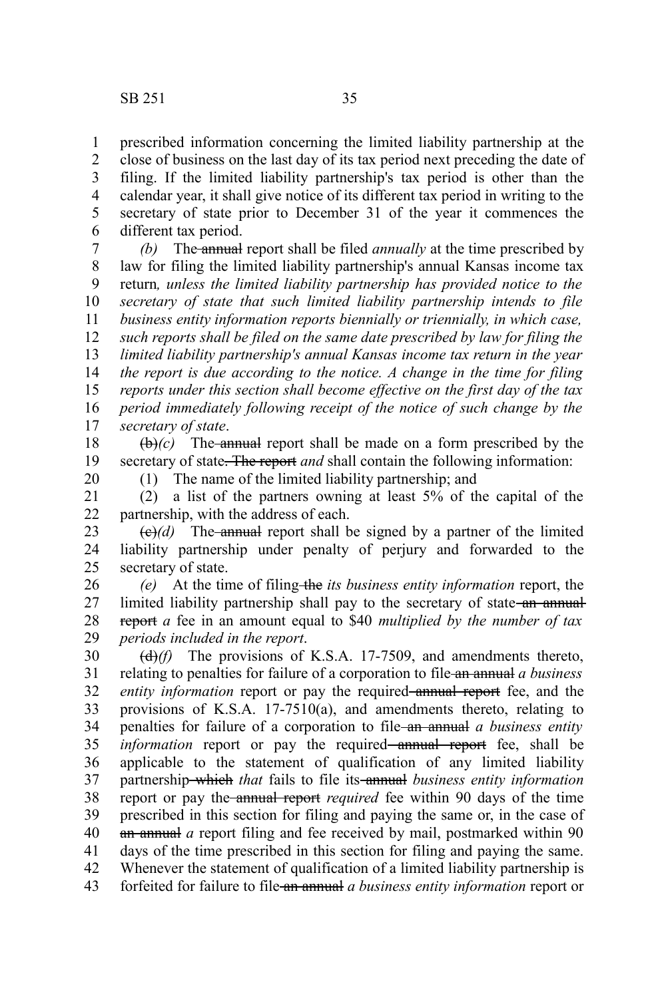prescribed information concerning the limited liability partnership at the close of business on the last day of its tax period next preceding the date of 1 2

filing. If the limited liability partnership's tax period is other than the calendar year, it shall give notice of its different tax period in writing to the secretary of state prior to December 31 of the year it commences the different tax period. 3 4 5 6

*(b)* The annual report shall be filed *annually* at the time prescribed by law for filing the limited liability partnership's annual Kansas income tax return*, unless the limited liability partnership has provided notice to the secretary of state that such limited liability partnership intends to file business entity information reports biennially or triennially, in which case, such reports shall be filed on the same date prescribed by law for filing the limited liability partnership's annual Kansas income tax return in the year the report is due according to the notice. A change in the time for filing reports under this section shall become effective on the first day of the tax period immediately following receipt of the notice of such change by the secretary of state*. 7 8 9 10 11 12 13 14 15 16 17

 $(\theta)$ *(c)* The annual report shall be made on a form prescribed by the secretary of state. The report *and* shall contain the following information: 18 19

20

(1) The name of the limited liability partnership; and

(2) a list of the partners owning at least 5% of the capital of the partnership, with the address of each. 21 22

 $\left(\frac{e}{e}\right)$  The annual report shall be signed by a partner of the limited liability partnership under penalty of perjury and forwarded to the secretary of state. 23 24 25

*(e)* At the time of filing the *its business entity information* report, the limited liability partnership shall pay to the secretary of state-an annualreport *a* fee in an amount equal to \$40 *multiplied by the number of tax periods included in the report*. 26 27 28 29

(d)*(f)* The provisions of K.S.A. 17-7509, and amendments thereto, relating to penalties for failure of a corporation to file an annual *a business entity information* report or pay the required annual report fee, and the provisions of K.S.A. 17-7510(a), and amendments thereto, relating to penalties for failure of a corporation to file an annual *a business entity information* report or pay the required—annual report fee, shall be applicable to the statement of qualification of any limited liability partnership which *that* fails to file its annual *business entity information* report or pay the annual report *required* fee within 90 days of the time prescribed in this section for filing and paying the same or, in the case of an annual *a* report filing and fee received by mail, postmarked within 90 days of the time prescribed in this section for filing and paying the same. Whenever the statement of qualification of a limited liability partnership is forfeited for failure to file an annual *a business entity information* report or 30 31 32 33 34 35 36 37 38 39 40 41 42 43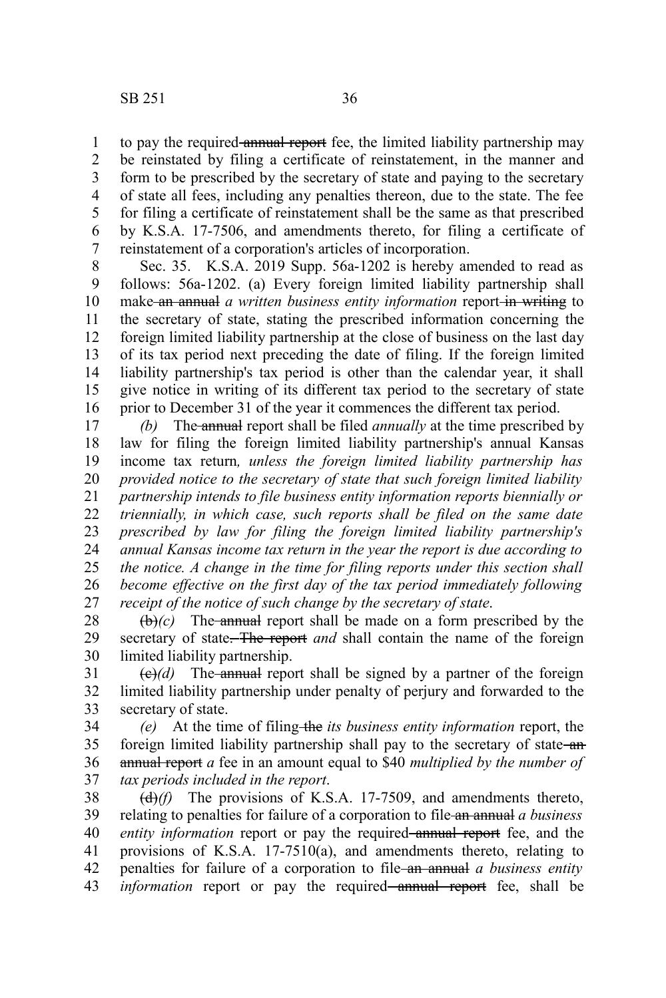to pay the required annual report fee, the limited liability partnership may be reinstated by filing a certificate of reinstatement, in the manner and form to be prescribed by the secretary of state and paying to the secretary of state all fees, including any penalties thereon, due to the state. The fee for filing a certificate of reinstatement shall be the same as that prescribed by K.S.A. 17-7506, and amendments thereto, for filing a certificate of reinstatement of a corporation's articles of incorporation. 1 2 3 4 5 6 7

Sec. 35. K.S.A. 2019 Supp. 56a-1202 is hereby amended to read as follows: 56a-1202. (a) Every foreign limited liability partnership shall make an annual *a written business entity information* report in writing to the secretary of state, stating the prescribed information concerning the foreign limited liability partnership at the close of business on the last day of its tax period next preceding the date of filing. If the foreign limited liability partnership's tax period is other than the calendar year, it shall give notice in writing of its different tax period to the secretary of state prior to December 31 of the year it commences the different tax period. 8 9 10 11 12 13 14 15 16

*(b)* The annual report shall be filed *annually* at the time prescribed by law for filing the foreign limited liability partnership's annual Kansas income tax return*, unless the foreign limited liability partnership has provided notice to the secretary of state that such foreign limited liability partnership intends to file business entity information reports biennially or triennially, in which case, such reports shall be filed on the same date prescribed by law for filing the foreign limited liability partnership's annual Kansas income tax return in the year the report is due according to the notice. A change in the time for filing reports under this section shall become effective on the first day of the tax period immediately following receipt of the notice of such change by the secretary of state*. 17 18 19 20 21 22 23 24 25 26 27

 $(\theta)$ *(c)* The annual report shall be made on a form prescribed by the secretary of state. The report *and* shall contain the name of the foreign limited liability partnership. 28 29 30

 $\left(\frac{e}{d}\right)$  The annual report shall be signed by a partner of the foreign limited liability partnership under penalty of perjury and forwarded to the secretary of state. 31 32 33

*(e)* At the time of filing the *its business entity information* report, the foreign limited liability partnership shall pay to the secretary of state-anannual report *a* fee in an amount equal to \$40 *multiplied by the number of tax periods included in the report*. 34 35 36 37

(d)*(f)* The provisions of K.S.A. 17-7509, and amendments thereto, relating to penalties for failure of a corporation to file an annual *a business entity information* report or pay the required annual report fee, and the provisions of K.S.A. 17-7510(a), and amendments thereto, relating to penalties for failure of a corporation to file an annual *a business entity information* report or pay the required annual report fee, shall be 38 39 40 41 42 43